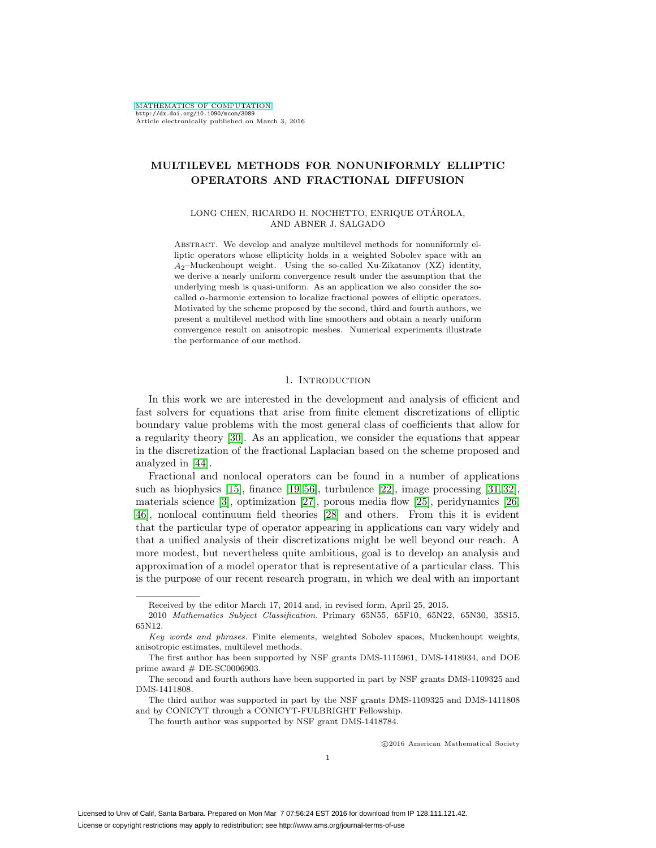# **MULTILEVEL METHODS FOR NONUNIFORMLY ELLIPTIC OPERATORS AND FRACTIONAL DIFFUSION**

### LONG CHEN, RICARDO H. NOCHETTO, ENRIQUE OTÁROLA, AND ABNER J. SALGADO

ABSTRACT. We develop and analyze multilevel methods for nonuniformly elliptic operators whose ellipticity holds in a weighted Sobolev space with an  $A_2$ –Muckenhoupt weight. Using the so-called Xu-Zikatanov (XZ) identity, we derive a nearly uniform convergence result under the assumption that the underlying mesh is quasi-uniform. As an application we also consider the socalled  $\alpha$ -harmonic extension to localize fractional powers of elliptic operators. Motivated by the scheme proposed by the second, third and fourth authors, we present a multilevel method with line smoothers and obtain a nearly uniform convergence result on anisotropic meshes. Numerical experiments illustrate the performance of our method.

### 1. INTRODUCTION

In this work we are interested in the development and analysis of efficient and fast solvers for equations that arise from finite element discretizations of elliptic boundary value problems with the most general class of coefficients that allow for a regularity theory [\[30\]](#page-23-0). As an application, we consider the equations that appear in the discretization of the fractional Laplacian based on the scheme proposed and analyzed in [\[44\]](#page-23-1).

Fractional and nonlocal operators can be found in a number of applications such as biophysics [\[15\]](#page-22-0), finance [\[19,](#page-22-1) [56\]](#page-24-0), turbulence [\[22\]](#page-22-2), image processing [\[31,](#page-23-2) [32\]](#page-23-3), materials science [\[3\]](#page-21-0), optimization [\[27\]](#page-23-4), porous media flow [\[25\]](#page-22-3), peridynamics [\[26,](#page-23-5) [46\]](#page-23-6), nonlocal continuum field theories [\[28\]](#page-23-7) and others. From this it is evident that the particular type of operator appearing in applications can vary widely and that a unified analysis of their discretizations might be well beyond our reach. A more modest, but nevertheless quite ambitious, goal is to develop an analysis and approximation of a model operator that is representative of a particular class. This is the purpose of our recent research program, in which we deal with an important

-c 2016 American Mathematical Society

Received by the editor March 17, 2014 and, in revised form, April 25, 2015.

<sup>2010</sup> Mathematics Subject Classification. Primary 65N55, 65F10, 65N22, 65N30, 35S15, 65N12.

Key words and phrases. Finite elements, weighted Sobolev spaces, Muckenhoupt weights, anisotropic estimates, multilevel methods.

The first author has been supported by NSF grants DMS-1115961, DMS-1418934, and DOE prime award  $#$  DE-SC0006903.

The second and fourth authors have been supported in part by NSF grants DMS-1109325 and DMS-1411808.

The third author was supported in part by the NSF grants DMS-1109325 and DMS-1411808 and by CONICYT through a CONICYT-FULBRIGHT Fellowship.

The fourth author was supported by NSF grant DMS-1418784.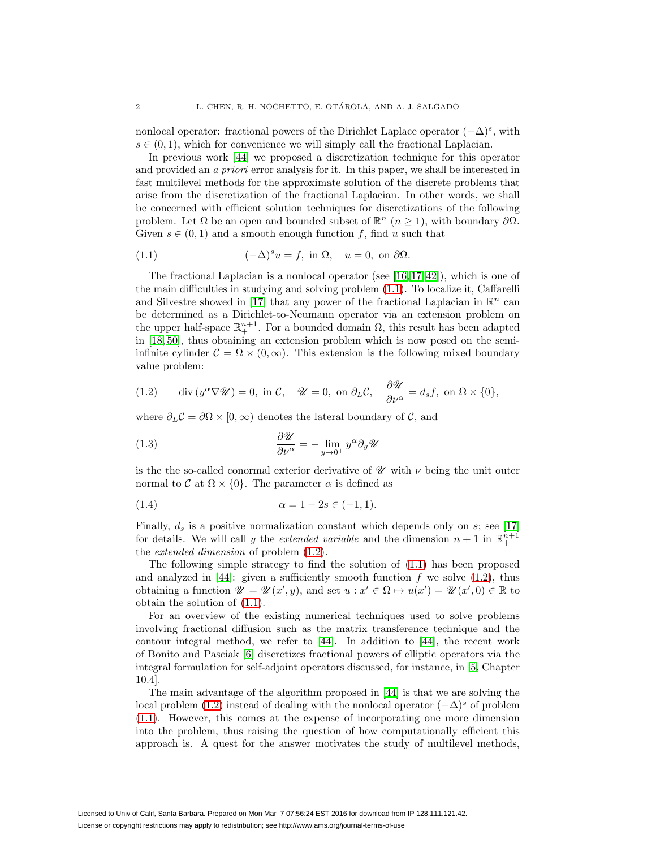nonlocal operator: fractional powers of the Dirichlet Laplace operator  $(-\Delta)^s$ , with  $s \in (0, 1)$ , which for convenience we will simply call the fractional Laplacian.

In previous work [\[44\]](#page-23-1) we proposed a discretization technique for this operator and provided an a priori error analysis for it. In this paper, we shall be interested in fast multilevel methods for the approximate solution of the discrete problems that arise from the discretization of the fractional Laplacian. In other words, we shall be concerned with efficient solution techniques for discretizations of the following problem. Let  $\Omega$  be an open and bounded subset of  $\mathbb{R}^n$  ( $n \geq 1$ ), with boundary  $\partial \Omega$ . Given  $s \in (0,1)$  and a smooth enough function f, find u such that

<span id="page-1-0"></span>(1.1) 
$$
(-\Delta)^s u = f, \text{ in } \Omega, \quad u = 0, \text{ on } \partial\Omega.
$$

The fractional Laplacian is a nonlocal operator (see [\[16,](#page-22-4) [17,](#page-22-5) [42\]](#page-23-8)), which is one of the main difficulties in studying and solving problem [\(1.1\)](#page-1-0). To localize it, Caffarelli and Silvestre showed in [\[17\]](#page-22-5) that any power of the fractional Laplacian in  $\mathbb{R}^n$  can be determined as a Dirichlet-to-Neumann operator via an extension problem on the upper half-space  $\mathbb{R}^{n+1}_+$ . For a bounded domain  $\Omega$ , this result has been adapted in [\[18,](#page-22-6) [50\]](#page-24-1), thus obtaining an extension problem which is now posed on the semiinfinite cylinder  $C = \Omega \times (0, \infty)$ . This extension is the following mixed boundary value problem:

<span id="page-1-1"></span>(1.2) div 
$$
(y^{\alpha}\nabla\mathcal{U})=0
$$
, in  $\mathcal{C}$ ,  $\mathcal{U}=0$ , on  $\partial_L \mathcal{C}$ ,  $\frac{\partial \mathcal{U}}{\partial \nu^{\alpha}}=d_s f$ , on  $\Omega \times \{0\}$ ,

where  $\partial_L C = \partial \Omega \times [0, \infty)$  denotes the lateral boundary of C, and

(1.3) 
$$
\frac{\partial \mathcal{U}}{\partial \nu^{\alpha}} = - \lim_{y \to 0^+} y^{\alpha} \partial_y \mathcal{U}
$$

is the the so-called conormal exterior derivative of  $\mathcal U$  with  $\nu$  being the unit outer normal to C at  $\Omega \times \{0\}$ . The parameter  $\alpha$  is defined as

(1.4) 
$$
\alpha = 1 - 2s \in (-1, 1).
$$

Finally,  $d_s$  is a positive normalization constant which depends only on  $s$ ; see [\[17\]](#page-22-5) for details. We will call y the *extended variable* and the dimension  $n+1$  in  $\mathbb{R}^{n+1}_+$ the extended dimension of problem [\(1.2\)](#page-1-1).

The following simple strategy to find the solution of [\(1.1\)](#page-1-0) has been proposed and analyzed in  $[44]$ : given a sufficiently smooth function f we solve  $(1.2)$ , thus obtaining a function  $\mathscr{U} = \mathscr{U}(x', y)$ , and set  $u : x' \in \Omega \mapsto u(x') = \mathscr{U}(x', 0) \in \mathbb{R}$  to obtain the solution of [\(1.1\)](#page-1-0).

For an overview of the existing numerical techniques used to solve problems involving fractional diffusion such as the matrix transference technique and the contour integral method, we refer to [\[44\]](#page-23-1). In addition to [\[44\]](#page-23-1), the recent work of Bonito and Pasciak [\[6\]](#page-22-7) discretizes fractional powers of elliptic operators via the integral formulation for self-adjoint operators discussed, for instance, in [\[5,](#page-22-8) Chapter 10.4].

The main advantage of the algorithm proposed in [\[44\]](#page-23-1) is that we are solving the local problem [\(1.2\)](#page-1-1) instead of dealing with the nonlocal operator  $(-\Delta)^s$  of problem [\(1.1\)](#page-1-0). However, this comes at the expense of incorporating one more dimension into the problem, thus raising the question of how computationally efficient this approach is. A quest for the answer motivates the study of multilevel methods,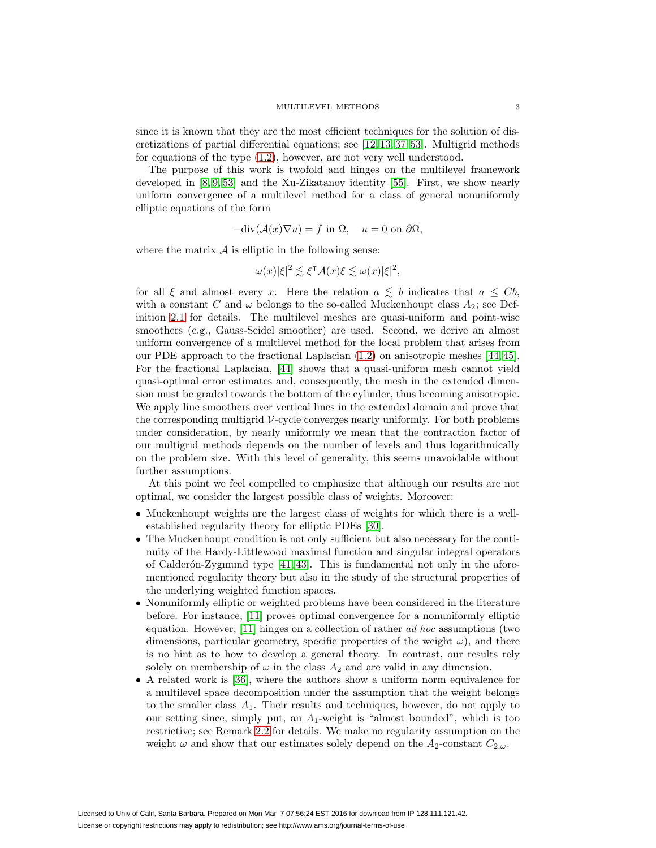since it is known that they are the most efficient techniques for the solution of discretizations of partial differential equations; see [\[12,](#page-22-9) [13,](#page-22-10) [37,](#page-23-9) [53\]](#page-24-2). Multigrid methods for equations of the type [\(1.2\)](#page-1-1), however, are not very well understood.

The purpose of this work is twofold and hinges on the multilevel framework developed in  $[8, 9, 53]$  $[8, 9, 53]$  $[8, 9, 53]$  and the Xu-Zikatanov identity  $[55]$ . First, we show nearly uniform convergence of a multilevel method for a class of general nonuniformly elliptic equations of the form

$$
-\text{div}(\mathcal{A}(x)\nabla u) = f \text{ in } \Omega, \quad u = 0 \text{ on } \partial\Omega,
$$

where the matrix  $\mathcal A$  is elliptic in the following sense:

$$
\omega(x)|\xi|^2 \lesssim \xi^{\mathsf{T}}\mathcal{A}(x)\xi \lesssim \omega(x)|\xi|^2,
$$

for all  $\xi$  and almost every x. Here the relation  $a \leq b$  indicates that  $a \leq Cb$ , with a constant C and  $\omega$  belongs to the so-called Muckenhoupt class  $A_2$ ; see Definition [2.1](#page-4-0) for details. The multilevel meshes are quasi-uniform and point-wise smoothers (e.g., Gauss-Seidel smoother) are used. Second, we derive an almost uniform convergence of a multilevel method for the local problem that arises from our PDE approach to the fractional Laplacian [\(1.2\)](#page-1-1) on anisotropic meshes [\[44,](#page-23-1) [45\]](#page-23-10). For the fractional Laplacian, [\[44\]](#page-23-1) shows that a quasi-uniform mesh cannot yield quasi-optimal error estimates and, consequently, the mesh in the extended dimension must be graded towards the bottom of the cylinder, thus becoming anisotropic. We apply line smoothers over vertical lines in the extended domain and prove that the corresponding multigrid  $\mathcal V$ -cycle converges nearly uniformly. For both problems under consideration, by nearly uniformly we mean that the contraction factor of our multigrid methods depends on the number of levels and thus logarithmically on the problem size. With this level of generality, this seems unavoidable without further assumptions.

At this point we feel compelled to emphasize that although our results are not optimal, we consider the largest possible class of weights. Moreover:

- Muckenhoupt weights are the largest class of weights for which there is a wellestablished regularity theory for elliptic PDEs [\[30\]](#page-23-0).
- The Muckenhoupt condition is not only sufficient but also necessary for the continuity of the Hardy-Littlewood maximal function and singular integral operators of Calderón-Zygmund type  $[41, 43]$  $[41, 43]$ . This is fundamental not only in the aforementioned regularity theory but also in the study of the structural properties of the underlying weighted function spaces.
- Nonuniformly elliptic or weighted problems have been considered in the literature before. For instance, [\[11\]](#page-22-13) proves optimal convergence for a nonuniformly elliptic equation. However, [\[11\]](#page-22-13) hinges on a collection of rather ad hoc assumptions (two dimensions, particular geometry, specific properties of the weight  $\omega$ ), and there is no hint as to how to develop a general theory. In contrast, our results rely solely on membership of  $\omega$  in the class  $A_2$  and are valid in any dimension.
- A related work is [\[36\]](#page-23-13), where the authors show a uniform norm equivalence for a multilevel space decomposition under the assumption that the weight belongs to the smaller class  $A_1$ . Their results and techniques, however, do not apply to our setting since, simply put, an  $A_1$ -weight is "almost bounded", which is too restrictive; see Remark [2.2](#page-4-1) for details. We make no regularity assumption on the weight  $\omega$  and show that our estimates solely depend on the  $A_2$ -constant  $C_{2,\omega}$ .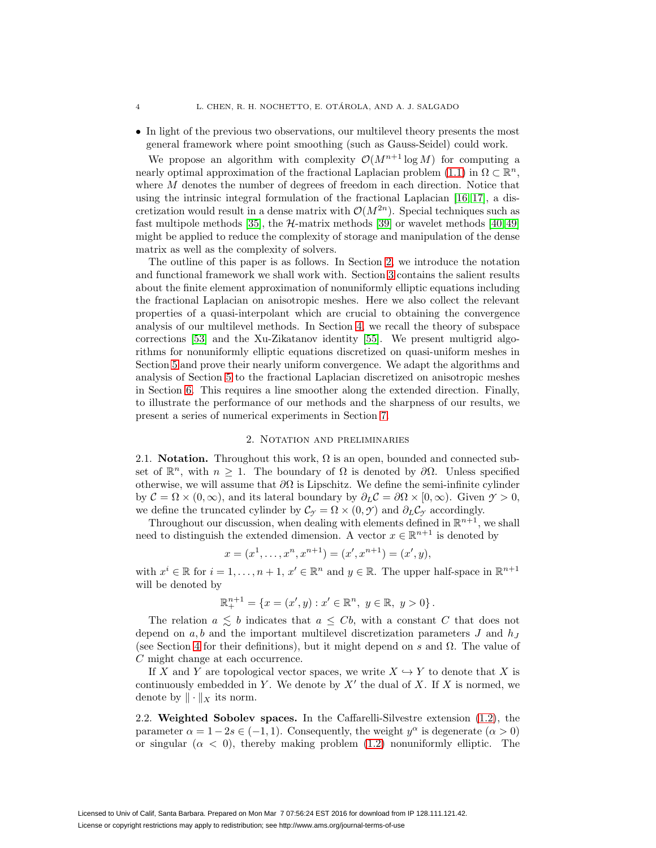• In light of the previous two observations, our multilevel theory presents the most general framework where point smoothing (such as Gauss-Seidel) could work.

We propose an algorithm with complexity  $\mathcal{O}(M^{n+1} \log M)$  for computing a nearly optimal approximation of the fractional Laplacian problem [\(1.1\)](#page-1-0) in  $\Omega \subset \mathbb{R}^n$ , where M denotes the number of degrees of freedom in each direction. Notice that using the intrinsic integral formulation of the fractional Laplacian [\[16,](#page-22-4) [17\]](#page-22-5), a discretization would result in a dense matrix with  $\mathcal{O}(M^{2n})$ . Special techniques such as fast multipole methods [\[35\]](#page-23-14), the  $H$ -matrix methods [\[39\]](#page-23-15) or wavelet methods [\[40,](#page-23-16)49] might be applied to reduce the complexity of storage and manipulation of the dense matrix as well as the complexity of solvers.

The outline of this paper is as follows. In Section [2,](#page-3-0) we introduce the notation and functional framework we shall work with. Section [3](#page-6-0) contains the salient results about the finite element approximation of nonuniformly elliptic equations including the fractional Laplacian on anisotropic meshes. Here we also collect the relevant properties of a quasi-interpolant which are crucial to obtaining the convergence analysis of our multilevel methods. In Section [4,](#page-9-0) we recall the theory of subspace corrections [\[53\]](#page-24-2) and the Xu-Zikatanov identity [\[55\]](#page-24-3). We present multigrid algorithms for nonuniformly elliptic equations discretized on quasi-uniform meshes in Section [5](#page-11-0) and prove their nearly uniform convergence. We adapt the algorithms and analysis of Section [5](#page-11-0) to the fractional Laplacian discretized on anisotropic meshes in Section [6.](#page-14-0) This requires a line smoother along the extended direction. Finally, to illustrate the performance of our methods and the sharpness of our results, we present a series of numerical experiments in Section [7.](#page-17-0)

### 2. Notation and preliminaries

<span id="page-3-0"></span>2.1. **Notation.** Throughout this work,  $\Omega$  is an open, bounded and connected subset of  $\mathbb{R}^n$ , with  $n \geq 1$ . The boundary of  $\Omega$  is denoted by  $\partial\Omega$ . Unless specified otherwise, we will assume that  $\partial\Omega$  is Lipschitz. We define the semi-infinite cylinder by  $\mathcal{C} = \Omega \times (0, \infty)$ , and its lateral boundary by  $\partial_L \mathcal{C} = \partial \Omega \times [0, \infty)$ . Given  $\mathcal{Y} > 0$ , we define the truncated cylinder by  $\mathcal{C}_{\gamma} = \Omega \times (0, \mathcal{Y})$  and  $\partial_L \mathcal{C}_{\gamma}$  accordingly.

Throughout our discussion, when dealing with elements defined in  $\mathbb{R}^{n+1}$ , we shall need to distinguish the extended dimension. A vector  $x \in \mathbb{R}^{n+1}$  is denoted by

$$
x = (x1,..., xn, xn+1) = (x', xn+1) = (x', y),
$$

with  $x^i \in \mathbb{R}$  for  $i = 1, \ldots, n + 1, x' \in \mathbb{R}^n$  and  $y \in \mathbb{R}$ . The upper half-space in  $\mathbb{R}^{n+1}$ will be denoted by

$$
\mathbb{R}^{n+1}_{+} = \{ x = (x', y) : x' \in \mathbb{R}^{n}, y \in \mathbb{R}, y > 0 \}.
$$

The relation  $a \leq b$  indicates that  $a \leq Cb$ , with a constant C that does not depend on  $a, b$  and the important multilevel discretization parameters  $J$  and  $h_J$ (see Section [4](#page-9-0) for their definitions), but it might depend on s and  $\Omega$ . The value of C might change at each occurrence.

If X and Y are topological vector spaces, we write  $X \hookrightarrow Y$  to denote that X is continuously embedded in Y. We denote by  $X'$  the dual of X. If X is normed, we denote by  $\|\cdot\|_X$  its norm.

2.2. **Weighted Sobolev spaces.** In the Caffarelli-Silvestre extension [\(1.2\)](#page-1-1), the parameter  $\alpha = 1 - 2s \in (-1, 1)$ . Consequently, the weight  $y^{\alpha}$  is degenerate  $(\alpha > 0)$ or singular  $(\alpha < 0)$ , thereby making problem  $(1.2)$  nonuniformly elliptic. The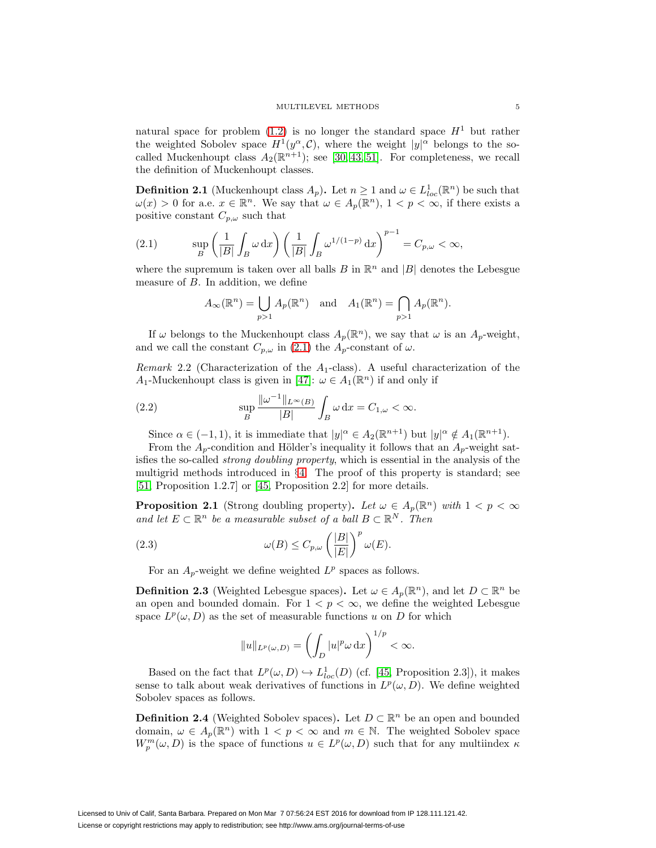natural space for problem  $(1.2)$  is no longer the standard space  $H<sup>1</sup>$  but rather the weighted Sobolev space  $H^1(y^\alpha, \mathcal{C})$ , where the weight  $|y|^\alpha$  belongs to the socalled Muckenhoupt class  $A_2(\mathbb{R}^{n+1})$ ; see [\[30,](#page-23-0) [43,](#page-23-12) [51\]](#page-24-5). For completeness, we recall the definition of Muckenhoupt classes.

<span id="page-4-0"></span>**Definition 2.1** (Muckenhoupt class  $A_p$ ). Let  $n \geq 1$  and  $\omega \in L^1_{loc}(\mathbb{R}^n)$  be such that  $\omega(x) > 0$  for a.e.  $x \in \mathbb{R}^n$ . We say that  $\omega \in A_p(\mathbb{R}^n)$ ,  $1 < p < \infty$ , if there exists a positive constant  $C_{p,\omega}$  such that

<span id="page-4-2"></span>(2.1) 
$$
\sup_{B} \left( \frac{1}{|B|} \int_{B} \omega \, dx \right) \left( \frac{1}{|B|} \int_{B} \omega^{1/(1-p)} \, dx \right)^{p-1} = C_{p,\omega} < \infty,
$$

where the supremum is taken over all balls B in  $\mathbb{R}^n$  and |B| denotes the Lebesgue measure of B. In addition, we define

$$
A_{\infty}(\mathbb{R}^n) = \bigcup_{p>1} A_p(\mathbb{R}^n) \text{ and } A_1(\mathbb{R}^n) = \bigcap_{p>1} A_p(\mathbb{R}^n).
$$

If  $\omega$  belongs to the Muckenhoupt class  $A_p(\mathbb{R}^n)$ , we say that  $\omega$  is an  $A_p$ -weight, and we call the constant  $C_{p,\omega}$  in [\(2.1\)](#page-4-2) the  $A_p$ -constant of  $\omega$ .

<span id="page-4-1"></span>*Remark* 2.2 (Characterization of the  $A_1$ -class). A useful characterization of the A<sub>1</sub>-Muckenhoupt class is given in [\[47\]](#page-24-6):  $\omega \in A_1(\mathbb{R}^n)$  if and only if

(2.2) 
$$
\sup_{B} \frac{\|\omega^{-1}\|_{L^{\infty}(B)}}{|B|} \int_{B} \omega \,dx = C_{1,\omega} < \infty.
$$

Since  $\alpha \in (-1,1)$ , it is immediate that  $|y|^{\alpha} \in A_2(\mathbb{R}^{n+1})$  but  $|y|^{\alpha} \notin A_1(\mathbb{R}^{n+1})$ .

From the  $A_p$ -condition and Hölder's inequality it follows that an  $A_p$ -weight satisfies the so-called strong doubling property, which is essential in the analysis of the multigrid methods introduced in §[4.](#page-9-0) The proof of this property is standard; see [\[51,](#page-24-5) Proposition 1.2.7] or [\[45,](#page-23-10) Proposition 2.2] for more details.

<span id="page-4-3"></span>**Proposition 2.1** (Strong doubling property). Let  $\omega \in A_p(\mathbb{R}^n)$  with  $1 < p < \infty$ and let  $E \subset \mathbb{R}^n$  be a measurable subset of a ball  $B \subset \mathbb{R}^N$ . Then

(2.3) 
$$
\omega(B) \leq C_{p,\omega} \left(\frac{|B|}{|E|}\right)^p \omega(E).
$$

For an  $A_p$ -weight we define weighted  $L^p$  spaces as follows.

**Definition 2.3** (Weighted Lebesgue spaces). Let  $\omega \in A_p(\mathbb{R}^n)$ , and let  $D \subset \mathbb{R}^n$  be an open and bounded domain. For  $1 < p < \infty$ , we define the weighted Lebesgue space  $L^p(\omega,D)$  as the set of measurable functions u on D for which

$$
||u||_{L^p(\omega,D)} = \left(\int_D |u|^p \omega \,dx\right)^{1/p} < \infty.
$$

Based on the fact that  $L^p(\omega, D) \hookrightarrow L^1_{loc}(D)$  (cf. [\[45,](#page-23-10) Proposition 2.3]), it makes sense to talk about weak derivatives of functions in  $L^p(\omega,D)$ . We define weighted Sobolev spaces as follows.

**Definition 2.4** (Weighted Sobolev spaces). Let  $D \subset \mathbb{R}^n$  be an open and bounded domain,  $\omega \in A_p(\mathbb{R}^n)$  with  $1 < p < \infty$  and  $m \in \mathbb{N}$ . The weighted Sobolev space  $W_p^m(\omega, D)$  is the space of functions  $u \in L^p(\omega, D)$  such that for any multiindex  $\kappa$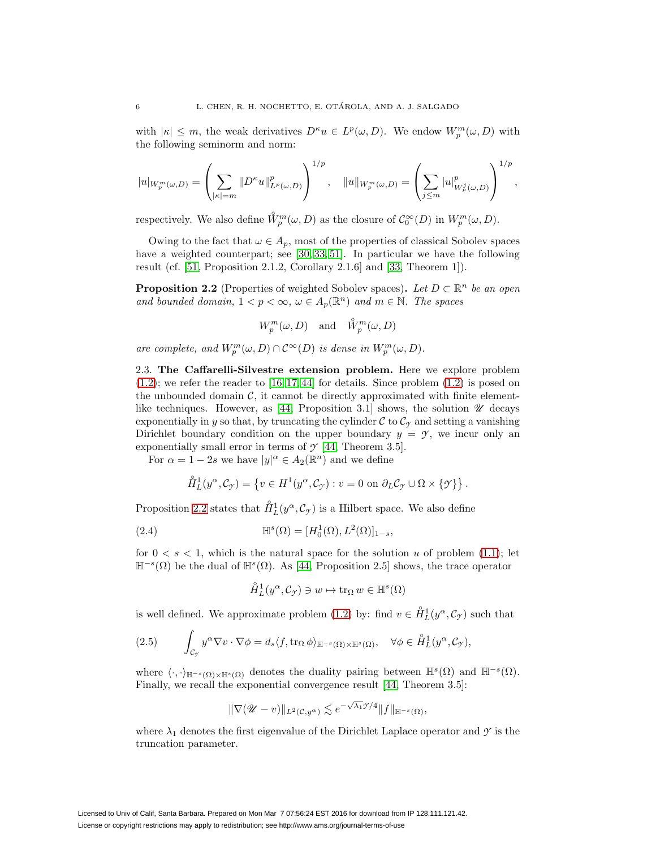with  $|\kappa| \leq m$ , the weak derivatives  $D^{\kappa}u \in L^p(\omega, D)$ . We endow  $W_p^m(\omega, D)$  with the following seminorm and norm:

$$
|u|_{W_p^m(\omega,D)} = \left(\sum_{|\kappa|=m} \|D^{\kappa}u\|_{L^p(\omega,D)}^p\right)^{1/p}, \quad \|u\|_{W_p^m(\omega,D)} = \left(\sum_{j\leq m} |u|_{W_p^j(\omega,D)}^p\right)^{1/p},
$$

respectively. We also define  $\mathring{W}_p^m(\omega, D)$  as the closure of  $\mathcal{C}_0^{\infty}(D)$  in  $W_p^m(\omega, D)$ .

Owing to the fact that  $\omega \in A_p$ , most of the properties of classical Sobolev spaces have a weighted counterpart; see [\[30,](#page-23-0) [33,](#page-23-17) [51\]](#page-24-5). In particular we have the following result (cf. [\[51,](#page-24-5) Proposition 2.1.2, Corollary 2.1.6] and [\[33,](#page-23-17) Theorem 1]).

<span id="page-5-0"></span>**Proposition 2.2** (Properties of weighted Sobolev spaces). Let  $D \subset \mathbb{R}^n$  be an open and bounded domain,  $1 < p < \infty$ ,  $\omega \in A_p(\mathbb{R}^n)$  and  $m \in \mathbb{N}$ . The spaces

$$
W^m_p(\omega, D) \quad \text{and} \quad \mathring{W}^m_p(\omega, D)
$$

are complete, and  $W_p^m(\omega, D) \cap C^{\infty}(D)$  is dense in  $W_p^m(\omega, D)$ .

2.3. **The Caffarelli-Silvestre extension problem.** Here we explore problem  $(1.2)$ ; we refer the reader to  $[16, 17, 44]$  $[16, 17, 44]$  $[16, 17, 44]$  for details. Since problem  $(1.2)$  is posed on the unbounded domain  $\mathcal{C}$ , it cannot be directly approximated with finite element-like techniques. However, as [\[44,](#page-23-1) Proposition 3.1] shows, the solution  $\mathscr U$  decays exponentially in y so that, by truncating the cylinder  $\mathcal C$  to  $\mathcal C_{\gamma}$  and setting a vanishing Dirichlet boundary condition on the upper boundary  $y = \gamma$ , we incur only an exponentially small error in terms of  $\mathcal{Y}$  [\[44,](#page-23-1) Theorem 3.5].

For  $\alpha = 1 - 2s$  we have  $|y|^{\alpha} \in A_2(\mathbb{R}^n)$  and we define

$$
\mathring{H}_L^1(y^\alpha, \mathcal{C}_{\gamma}) = \left\{ v \in H^1(y^\alpha, \mathcal{C}_{\gamma}) : v = 0 \text{ on } \partial_L \mathcal{C}_{\gamma} \cup \Omega \times \{\gamma\} \right\}.
$$

Proposition [2.2](#page-5-0) states that  $\hat{H}_L^1(y^\alpha, \mathcal{C}_{\mathcal{I}})$  is a Hilbert space. We also define

(2.4) 
$$
\mathbb{H}^{s}(\Omega) = [H_0^1(\Omega), L^2(\Omega)]_{1-s},
$$

for  $0 < s < 1$ , which is the natural space for the solution u of problem [\(1.1\)](#page-1-0); let  $\mathbb{H}^{-s}(\Omega)$  be the dual of  $\mathbb{H}^{s}(\Omega)$ . As [\[44,](#page-23-1) Proposition 2.5] shows, the trace operator

$$
\overset{\circ}{H}{}^1_L(y^\alpha, \mathcal{C}_{\gamma}) \ni w \mapsto \text{tr}_{\Omega} \, w \in \mathbb{H}^s(\Omega)
$$

is well defined. We approximate problem [\(1.2\)](#page-1-1) by: find  $v \in \overset{\circ}{H}_{L}^{1}(y^{\alpha}, \mathcal{C}_{\gamma})$  such that

<span id="page-5-1"></span>
$$
(2.5) \qquad \int_{\mathcal{C}_{\mathcal{I}}} y^{\alpha} \nabla v \cdot \nabla \phi = d_s \langle f, \text{tr}_{\Omega} \phi \rangle_{\mathbb{H}^{-s}(\Omega) \times \mathbb{H}^s(\Omega)}, \quad \forall \phi \in \overset{\circ}{H}_L^1(y^{\alpha}, \mathcal{C}_{\mathcal{I}}),
$$

where  $\langle \cdot, \cdot \rangle_{\mathbb{H}^{-s}(\Omega) \times \mathbb{H}^{s}(\Omega)}$  denotes the duality pairing between  $\mathbb{H}^{s}(\Omega)$  and  $\mathbb{H}^{-s}(\Omega)$ . Finally, we recall the exponential convergence result [\[44,](#page-23-1) Theorem 3.5]:

$$
\|\nabla ( \mathscr{U}-v) \|_{L^2(\mathcal{C},y^{\alpha})} \lesssim e^{-\sqrt{\lambda_1} \mathscr{Y}/4} \|f\|_{\mathbb{H}^{-s}(\Omega)},
$$

where  $\lambda_1$  denotes the first eigenvalue of the Dirichlet Laplace operator and  $\gamma$  is the truncation parameter.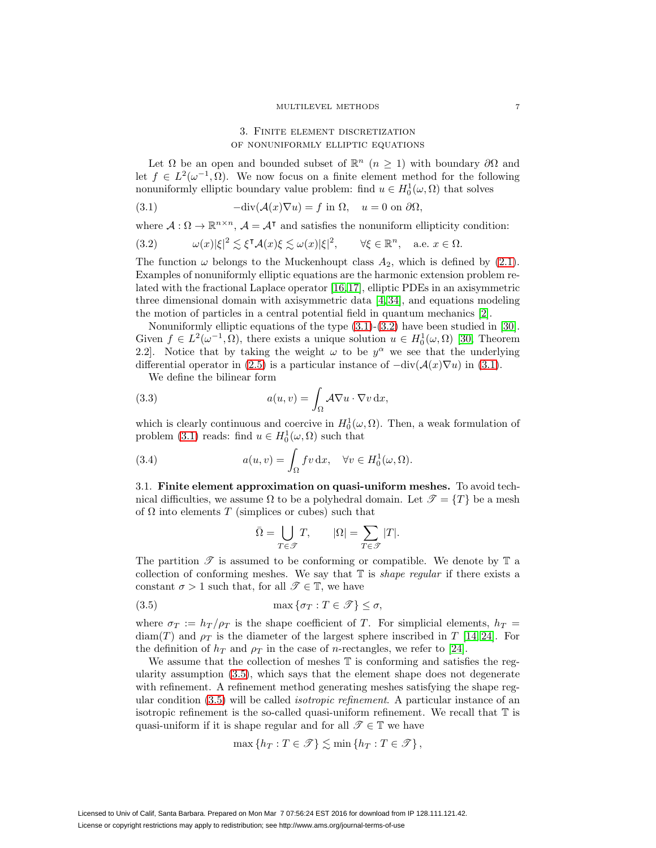## 3. Finite element discretization of nonuniformly elliptic equations

<span id="page-6-0"></span>Let  $\Omega$  be an open and bounded subset of  $\mathbb{R}^n$  ( $n \geq 1$ ) with boundary  $\partial \Omega$  and let  $f \in L^2(\omega^{-1}, \Omega)$ . We now focus on a finite element method for the following nonuniformly elliptic boundary value problem: find  $u \in H_0^1(\omega, \Omega)$  that solves

<span id="page-6-1"></span>(3.1) 
$$
-\text{div}(\mathcal{A}(x)\nabla u) = f \text{ in } \Omega, \quad u = 0 \text{ on } \partial\Omega,
$$

where  $A: \Omega \to \mathbb{R}^{n \times n}$ ,  $A = A^{\dagger}$  and satisfies the nonuniform ellipticity condition:

<span id="page-6-2"></span>(3.2) 
$$
\omega(x)|\xi|^2 \lesssim \xi^{\mathsf{T}}\mathcal{A}(x)\xi \lesssim \omega(x)|\xi|^2, \qquad \forall \xi \in \mathbb{R}^n, \quad \text{a.e. } x \in \Omega.
$$

The function  $\omega$  belongs to the Muckenhoupt class  $A_2$ , which is defined by [\(2.1\)](#page-4-2). Examples of nonuniformly elliptic equations are the harmonic extension problem related with the fractional Laplace operator [\[16,](#page-22-4)[17\]](#page-22-5), elliptic PDEs in an axisymmetric three dimensional domain with axisymmetric data [\[4,](#page-21-1) [34\]](#page-23-18), and equations modeling the motion of particles in a central potential field in quantum mechanics [\[2\]](#page-21-2).

Nonuniformly elliptic equations of the type [\(3.1\)](#page-6-1)-[\(3.2\)](#page-6-2) have been studied in [\[30\]](#page-23-0). Given  $f \in L^2(\omega^{-1}, \Omega)$ , there exists a unique solution  $u \in H_0^1(\omega, \Omega)$  [\[30,](#page-23-0) Theorem 2.2. Notice that by taking the weight  $\omega$  to be  $y^{\alpha}$  we see that the underlying differential operator in [\(2.5\)](#page-5-1) is a particular instance of  $-\text{div}(\mathcal{A}(x)\nabla u)$  in [\(3.1\)](#page-6-1).

We define the bilinear form

<span id="page-6-4"></span>(3.3) 
$$
a(u,v) = \int_{\Omega} A \nabla u \cdot \nabla v \,dx,
$$

which is clearly continuous and coercive in  $H_0^1(\omega,\Omega)$ . Then, a weak formulation of problem [\(3.1\)](#page-6-1) reads: find  $u \in H_0^1(\omega, \Omega)$  such that

(3.4) 
$$
a(u,v) = \int_{\Omega} fv \, dx, \quad \forall v \in H_0^1(\omega,\Omega).
$$

3.1. **Finite element approximation on quasi-uniform meshes.** To avoid technical difficulties, we assume  $\Omega$  to be a polyhedral domain. Let  $\mathcal{T} = \{T\}$  be a mesh of  $\Omega$  into elements T (simplices or cubes) such that

$$
\bar{\Omega} = \bigcup_{T \in \mathcal{T}} T, \qquad |\Omega| = \sum_{T \in \mathcal{T}} |T|.
$$

The partition  $\mathscr T$  is assumed to be conforming or compatible. We denote by  $\mathbb T$  a collection of conforming meshes. We say that  $\mathbb T$  is *shape regular* if there exists a constant  $\sigma > 1$  such that, for all  $\mathscr{T} \in \mathbb{T}$ , we have

<span id="page-6-3"></span>(3.5) 
$$
\max \{\sigma_T : T \in \mathcal{T}\} \leq \sigma,
$$

where  $\sigma_T := h_T / \rho_T$  is the shape coefficient of T. For simplicial elements,  $h_T =$  $diam(T)$  and  $\rho_T$  is the diameter of the largest sphere inscribed in T [\[14,](#page-22-14) [24\]](#page-22-15). For the definition of  $h_T$  and  $\rho_T$  in the case of *n*-rectangles, we refer to [\[24\]](#page-22-15).

We assume that the collection of meshes  $\mathbb T$  is conforming and satisfies the regularity assumption [\(3.5\)](#page-6-3), which says that the element shape does not degenerate with refinement. A refinement method generating meshes satisfying the shape regular condition [\(3.5\)](#page-6-3) will be called isotropic refinement. A particular instance of an isotropic refinement is the so-called quasi-uniform refinement. We recall that T is quasi-uniform if it is shape regular and for all  $\mathscr{T} \in \mathbb{T}$  we have

$$
\max\left\{h_T : T \in \mathcal{T}\right\} \lesssim \min\left\{h_T : T \in \mathcal{T}\right\},\
$$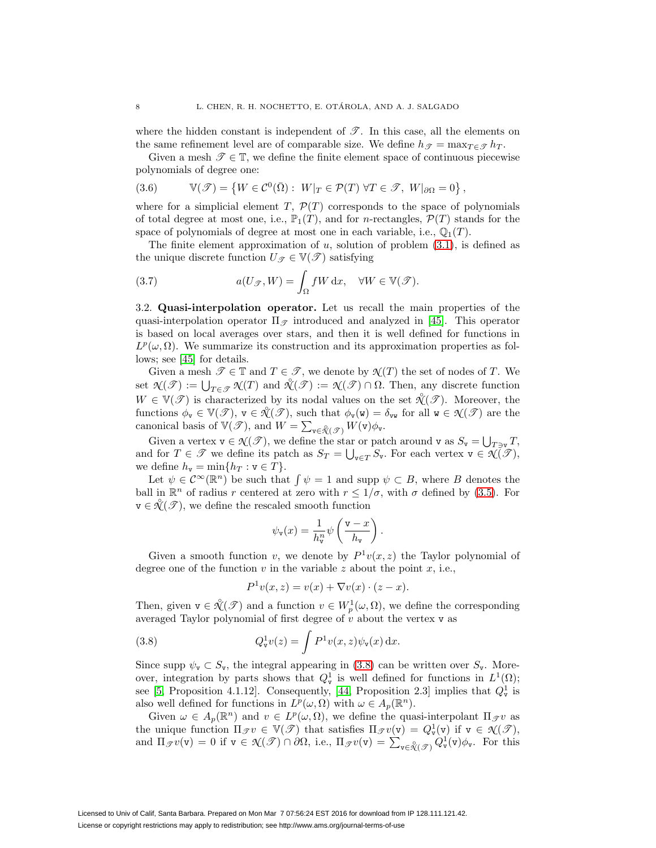where the hidden constant is independent of  $\mathscr{T}$ . In this case, all the elements on the same refinement level are of comparable size. We define  $h_{\mathscr{T}} = \max_{T \in \mathscr{T}} h_T$ .

Given a mesh  $\mathscr{T} \in \mathbb{T}$ , we define the finite element space of continuous piecewise polynomials of degree one:

<span id="page-7-1"></span>(3.6) 
$$
\mathbb{V}(\mathscr{T}) = \left\{ W \in \mathcal{C}^0(\bar{\Omega}) : W|_{T} \in \mathcal{P}(T) \ \forall T \in \mathscr{T}, W|_{\partial \Omega} = 0 \right\},
$$

where for a simplicial element T,  $\mathcal{P}(T)$  corresponds to the space of polynomials of total degree at most one, i.e.,  $\mathbb{P}_1(T)$ , and for *n*-rectangles,  $\mathcal{P}(T)$  stands for the space of polynomials of degree at most one in each variable, i.e.,  $\mathbb{O}_1(T)$ .

The finite element approximation of  $u$ , solution of problem  $(3.1)$ , is defined as the unique discrete function  $U_{\mathscr{T}} \in \mathbb{V}(\mathscr{T})$  satisfying

<span id="page-7-3"></span>(3.7) 
$$
a(U_{\mathscr{T}}, W) = \int_{\Omega} fW \, dx, \quad \forall W \in \mathbb{V}(\mathscr{T}).
$$

<span id="page-7-2"></span>3.2. **Quasi-interpolation operator.** Let us recall the main properties of the quasi-interpolation operator  $\Pi_{\mathscr{T}}$  introduced and analyzed in [\[45\]](#page-23-10). This operator is based on local averages over stars, and then it is well defined for functions in  $L^p(\omega,\Omega)$ . We summarize its construction and its approximation properties as follows; see [\[45\]](#page-23-10) for details.

Given a mesh  $\mathscr{T} \in \mathbb{T}$  and  $T \in \mathscr{T}$ , we denote by  $\mathscr{N}(T)$  the set of nodes of T. We set  $\mathcal{N}(\mathcal{T}) := \bigcup_{T \in \mathcal{T}} \mathcal{N}(T)$  and  $\mathcal{N}(\mathcal{T}) := \mathcal{N}(\mathcal{T}) \cap \Omega$ . Then, any discrete function  $W \in \mathbb{V}(\mathcal{F})$  is characterized by its nodal values on the set  $\mathcal{K}(\mathcal{F})$ . Moreover, the functions  $\phi_{\mathbf{v}} \in \mathbb{V}(\mathscr{T})$ ,  $\mathbf{v} \in \mathcal{X}(\mathscr{T})$ , such that  $\phi_{\mathbf{v}}(\mathbf{w}) = \delta_{\mathbf{v}\mathbf{w}}$  for all  $\mathbf{w} \in \mathcal{X}(\mathscr{T})$  are the canonical basis of  $\mathbb{V}(\mathscr{T})$ , and  $W = \sum_{\mathbf{v} \in \mathcal{X}(\mathscr{T})} W(\mathbf{v}) \phi_{\mathbf{v}}$ .

Given a vertex  $\mathbf{v} \in \mathcal{N}(\mathcal{T})$ , we define the star or patch around  $\mathbf{v}$  as  $S_{\mathbf{v}} = \bigcup_{T \ni \mathbf{v}} T$ , and for  $T \in \mathscr{T}$  we define its patch as  $S_T = \bigcup_{\mathbf{v} \in T} S_{\mathbf{v}}$ . For each vertex  $\mathbf{v} \in \mathcal{N}(\mathscr{T})$ , we define  $h_{\mathbf{v}} = \min\{h_T : \mathbf{v} \in T\}.$ 

Let  $\psi \in C^{\infty}(\mathbb{R}^n)$  be such that  $\int \psi = 1$  and supp  $\psi \subset B$ , where B denotes the ball in  $\mathbb{R}^n$  of radius r centered at zero with  $r \leq 1/\sigma$ , with  $\sigma$  defined by [\(3.5\)](#page-6-3). For  $\mathbf{v} \in \mathcal{K}(\mathcal{F})$ , we define the rescaled smooth function

$$
\psi_{\mathbf{v}}(x) = \frac{1}{h_{\mathbf{v}}^n} \psi\left(\frac{\mathbf{v} - x}{h_{\mathbf{v}}}\right).
$$

Given a smooth function v, we denote by  $P^{1}v(x, z)$  the Taylor polynomial of degree one of the function v in the variable z about the point x, i.e.,

$$
P^{1}v(x, z) = v(x) + \nabla v(x) \cdot (z - x).
$$

Then, given  $\mathbf{v} \in \mathcal{N}(\mathcal{F})$  and a function  $v \in W_p^1(\omega, \Omega)$ , we define the corresponding averaged Taylor polynomial of first degree of  $\tilde{v}$  about the vertex v as

<span id="page-7-0"></span>(3.8) 
$$
Q^1_{\mathbf{v}}v(z) = \int P^1 v(x, z)\psi_{\mathbf{v}}(x) dx.
$$

Since supp  $\psi_{\mathbf{v}} \subset S_{\mathbf{v}}$ , the integral appearing in [\(3.8\)](#page-7-0) can be written over  $S_{\mathbf{v}}$ . Moreover, integration by parts shows that  $Q_{\mathbf{v}}^1$  is well defined for functions in  $L^1(\Omega)$ ; see [\[5,](#page-22-8) Proposition 4.1.12]. Consequently, [\[44,](#page-23-1) Proposition 2.3] implies that  $Q_{\mathbf{v}}^1$  is also well defined for functions in  $L^p(\omega, \Omega)$  with  $\omega \in A_p(\mathbb{R}^n)$ .

Given  $\omega \in A_p(\mathbb{R}^n)$  and  $v \in L^p(\omega, \Omega)$ , we define the quasi-interpolant  $\Pi_{\mathcal{F}}v$  as the unique function  $\Pi_{\mathscr{T}}v \in V(\mathscr{T})$  that satisfies  $\Pi_{\mathscr{T}}v(v) = Q_v^1(v)$  if  $v \in \mathcal{N}(\mathscr{T})$ , and  $\Pi_{\mathscr{T}}v(\mathsf{v}) = 0$  if  $\mathsf{v} \in \mathcal{K}(\mathscr{T}) \cap \partial\Omega$ , i.e.,  $\Pi_{\mathscr{T}}v(\mathsf{v}) = \sum_{\mathsf{v} \in \mathcal{K}(\mathscr{T})} Q_{\mathsf{v}}^1(\mathsf{v}) \phi_{\mathsf{v}}$ . For this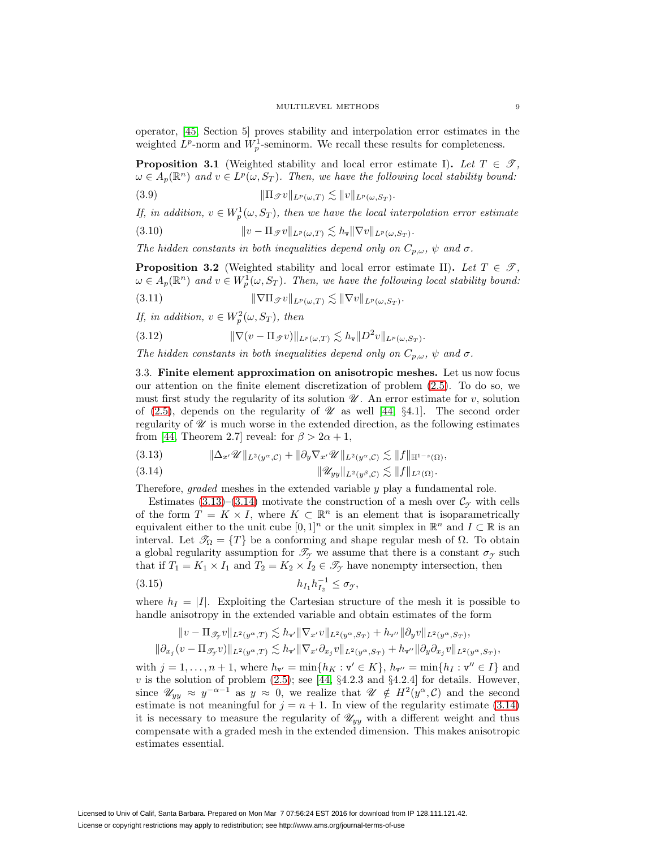operator, [\[45,](#page-23-10) Section 5] proves stability and interpolation error estimates in the weighted  $L^p$ -norm and  $W_p^1$ -seminorm. We recall these results for completeness.

<span id="page-8-6"></span>**Proposition 3.1** (Weighted stability and local error estimate I). Let  $T \in \mathcal{T}$ ,  $\omega \in A_p(\mathbb{R}^n)$  and  $v \in L^p(\omega, S_T)$ . Then, we have the following local stability bound:

<span id="page-8-2"></span>(3.9) 
$$
\|\Pi_{\mathscr{T}}v\|_{L^p(\omega,T)} \lesssim \|v\|_{L^p(\omega,S_T)}.
$$

If, in addition,  $v \in W_p^1(\omega, S_T)$ , then we have the local interpolation error estimate

(3.10) 
$$
\|v - \Pi_{\mathscr{T}}v\|_{L^p(\omega,T)} \lesssim h_{\mathbf{v}} \|\nabla v\|_{L^p(\omega,S_T)}.
$$

The hidden constants in both inequalities depend only on  $C_{p,\omega}$ ,  $\psi$  and  $\sigma$ .

<span id="page-8-5"></span>**Proposition 3.2** (Weighted stability and local error estimate II). Let  $T \in \mathcal{T}$ ,  $\omega \in A_p(\mathbb{R}^n)$  and  $v \in W^1_p(\omega, S_T)$ . Then, we have the following local stability bound:

<span id="page-8-8"></span>(3.11) 
$$
\|\nabla\Pi_{\mathcal{F}}v\|_{L^p(\omega,T)} \lesssim \|\nabla v\|_{L^p(\omega,S_T)}.
$$

If, in addition,  $v \in W_p^2(\omega, S_T)$ , then

<span id="page-8-3"></span>(3.12) 
$$
\|\nabla(v - \Pi_{\mathcal{F}}v)\|_{L^p(\omega,T)} \lesssim h_{\mathbf{v}} \|D^2 v\|_{L^p(\omega,S_T)}.
$$

<span id="page-8-7"></span>The hidden constants in both inequalities depend only on  $C_{p,\omega}$ ,  $\psi$  and  $\sigma$ .

3.3. **Finite element approximation on anisotropic meshes.** Let us now focus our attention on the finite element discretization of problem [\(2.5\)](#page-5-1). To do so, we must first study the regularity of its solution  $\mathscr U$ . An error estimate for v, solution of [\(2.5\)](#page-5-1), depends on the regularity of  $\mathscr U$  as well [\[44,](#page-23-1) §4.1]. The second order regularity of  $\mathscr U$  is much worse in the extended direction, as the following estimates from [\[44,](#page-23-1) Theorem 2.7] reveal: for  $\beta > 2\alpha + 1$ ,

<span id="page-8-0"></span>
$$
(3.13) \t\t\t ||\Delta_{x'}\mathscr{U}||_{L^2(y^{\alpha},c)} + ||\partial_y\nabla_{x'}\mathscr{U}||_{L^2(y^{\alpha},c)} \lesssim ||f||_{\mathbb{H}^{1-s}(\Omega)},
$$

<span id="page-8-1"></span>
$$
(3.14) \t\t\t\t\t\|\mathscr{U}_{yy}\|_{L^2(y^\beta,\mathcal{C})}\lesssim \|f\|_{L^2(\Omega)}.
$$

Therefore, graded meshes in the extended variable y play a fundamental role.

Estimates  $(3.13)$ – $(3.14)$  motivate the construction of a mesh over  $\mathcal{C}_{\gamma}$  with cells of the form  $T = K \times I$ , where  $K \subset \mathbb{R}^n$  is an element that is isoparametrically equivalent either to the unit cube  $[0, 1]^n$  or the unit simplex in  $\mathbb{R}^n$  and  $I \subset \mathbb{R}$  is an interval. Let  $\mathcal{T}_{\Omega} = \{T\}$  be a conforming and shape regular mesh of  $\Omega$ . To obtain a global regularity assumption for  $\mathcal{T}_{\gamma}$  we assume that there is a constant  $\sigma_{\gamma}$  such that if  $T_1 = K_1 \times I_1$  and  $T_2 = K_2 \times I_2 \in \mathcal{T}_{\gamma}$  have nonempty intersection, then

<span id="page-8-4"></span>(3.15) 
$$
h_{I_1}h_{I_2}^{-1} \leq \sigma_{\mathcal{Y}},
$$

where  $h_I = |I|$ . Exploiting the Cartesian structure of the mesh it is possible to handle anisotropy in the extended variable and obtain estimates of the form

$$
||v - \Pi_{\mathscr{T}_{\mathcal{Y}}}v||_{L^{2}(y^{\alpha},T)} \lesssim h_{\mathbf{v}'}||\nabla_{x'}v||_{L^{2}(y^{\alpha},S_{T})} + h_{\mathbf{v}''}||\partial_{y}v||_{L^{2}(y^{\alpha},S_{T})},
$$
  

$$
||\partial_{x_{j}}(v - \Pi_{\mathscr{T}_{\mathcal{Y}}}v)||_{L^{2}(y^{\alpha},T)} \lesssim h_{\mathbf{v}'}||\nabla_{x'}\partial_{x_{j}}v||_{L^{2}(y^{\alpha},S_{T})} + h_{\mathbf{v}''}||\partial_{y}\partial_{x_{j}}v||_{L^{2}(y^{\alpha},S_{T})},
$$

with  $j = 1, ..., n + 1$ , where  $h_{\mathbf{v}'} = \min\{h_K : \mathbf{v}' \in K\}$ ,  $h_{\mathbf{v}''} = \min\{h_I : \mathbf{v}'' \in I\}$  and v is the solution of problem  $(2.5)$ ; see [\[44,](#page-23-1) §4.2.3 and §4.2.4] for details. However, since  $\mathscr{U}_{yy} \approx y^{-\alpha-1}$  as  $y \approx 0$ , we realize that  $\mathscr{U} \notin H^2(y^{\alpha}, \mathcal{C})$  and the second estimate is not meaningful for  $j = n + 1$ . In view of the regularity estimate [\(3.14\)](#page-8-1) it is necessary to measure the regularity of  $\mathscr{U}_{yy}$  with a different weight and thus compensate with a graded mesh in the extended dimension. This makes anisotropic estimates essential.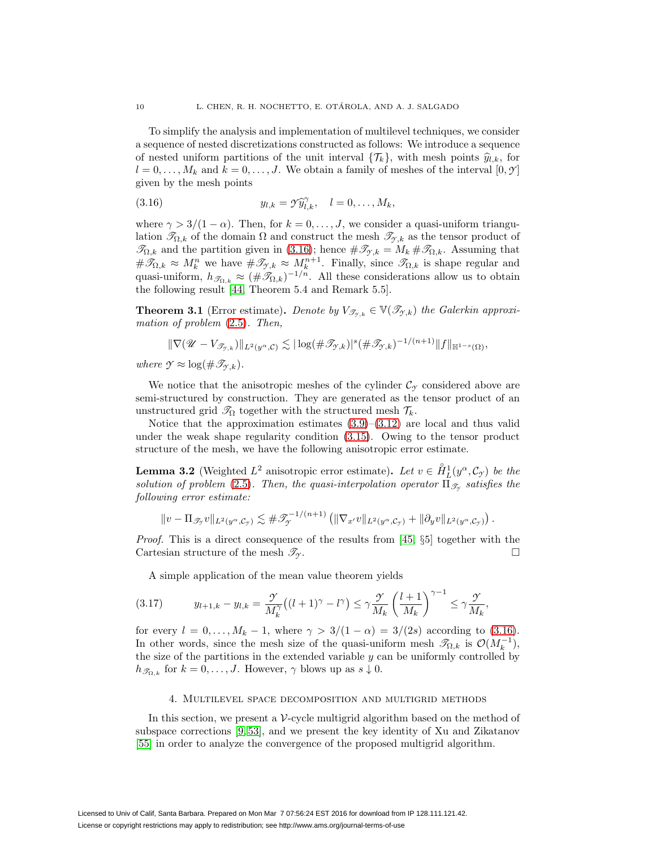To simplify the analysis and implementation of multilevel techniques, we consider a sequence of nested discretizations constructed as follows: We introduce a sequence of nested uniform partitions of the unit interval  $\{\mathcal{T}_k\}$ , with mesh points  $\hat{y}_{l,k}$ , for  $l = 0, \ldots, M_k$  and  $k = 0, \ldots, J$ . We obtain a family of meshes of the interval  $[0, \mathcal{Y}]$ given by the mesh points

<span id="page-9-1"></span>(3.16) 
$$
y_{l,k} = \mathcal{Y}\widehat{y}_{l,k}^{\gamma}, \quad l = 0,\ldots,M_k,
$$

where  $\gamma > 3/(1 - \alpha)$ . Then, for  $k = 0, \ldots, J$ , we consider a quasi-uniform triangulation  $\mathscr{T}_{\Omega,k}$  of the domain  $\Omega$  and construct the mesh  $\mathscr{T}_{\gamma,k}$  as the tensor product of  $\mathscr{T}_{\Omega,k}$  and the partition given in [\(3.16\)](#page-9-1); hence  $\#\mathscr{T}_{\gamma,k} = M_k \#\mathscr{T}_{\Omega,k}$ . Assuming that  $\#\mathscr{T}_{\Omega,k} \approx M_k^n$  we have  $\#\mathscr{T}_{\mathscr{T},k} \approx M_k^{n+1}$ . Finally, since  $\mathscr{T}_{\Omega,k}$  is shape regular and quasi-uniform,  $h_{\mathscr{T}_{\Omega,k}} \approx (\#\mathscr{T}_{\Omega,k})^{-1/n}$ . All these considerations allow us to obtain the following result [\[44,](#page-23-1) Theorem 5.4 and Remark 5.5].

**Theorem 3.1** (Error estimate). Denote by  $V_{\mathcal{T}_{\gamma,k}} \in \mathbb{V}(\mathcal{T}_{\gamma,k})$  the Galerkin approximation of problem [\(2.5\)](#page-5-1). Then,

$$
\|\nabla (\mathscr{U}-V_{\mathscr{T}_{\mathscr{T},k}})\|_{L^2(\mathscr{Y}^\alpha,\mathcal{C})}\lesssim |\log(\#\mathscr{T}_{\mathscr{T},k})|^s(\#\mathscr{T}_{\mathscr{T},k})^{-1/(n+1)}\|f\|_{\mathbb{H}^{1-s}(\Omega)},
$$

where  $\mathcal{Y} \approx \log(\#\mathscr{T}_{\gamma,k}).$ 

We notice that the anisotropic meshes of the cylinder  $\mathcal{C}_{\gamma}$  considered above are semi-structured by construction. They are generated as the tensor product of an unstructured grid  $\mathcal{T}_{\Omega}$  together with the structured mesh  $\mathcal{T}_{k}$ .

Notice that the approximation estimates  $(3.9)$ – $(3.12)$  are local and thus valid under the weak shape regularity condition [\(3.15\)](#page-8-4). Owing to the tensor product structure of the mesh, we have the following anisotropic error estimate.

<span id="page-9-2"></span>**Lemma 3.2** (Weighted  $L^2$  anisotropic error estimate). Let  $v \in \hat{H}_L^1(y^\alpha, \mathcal{C}_{\mathcal{I}})$  be the solution of problem [\(2.5\)](#page-5-1). Then, the quasi-interpolation operator  $\Pi_{\mathscr{T}_{\alpha}}$  satisfies the following error estimate:

$$
||v - \Pi_{\mathscr{T}_{\mathcal{I}}} v||_{L^2(y^{\alpha}, \mathcal{C}_{\mathcal{I}})} \lesssim \#\mathscr{T}_{\mathcal{I}}^{-1/(n+1)} \left( \|\nabla_{x'} v\|_{L^2(y^{\alpha}, \mathcal{C}_{\mathcal{I}})} + \|\partial_y v\|_{L^2(y^{\alpha}, \mathcal{C}_{\mathcal{I}})} \right).
$$

Proof. This is a direct consequence of the results from [\[45,](#page-23-10) §5] together with the Cartesian structure of the mesh  $\mathcal{T}_{\gamma}$ .

A simple application of the mean value theorem yields

<span id="page-9-3"></span>
$$
(3.17) \t y_{l+1,k} - y_{l,k} = \frac{\mathcal{Y}}{M_k^{\gamma}} \left( (l+1)^{\gamma} - l^{\gamma} \right) \le \gamma \frac{\mathcal{Y}}{M_k} \left( \frac{l+1}{M_k} \right)^{\gamma - 1} \le \gamma \frac{\mathcal{Y}}{M_k},
$$

for every  $l = 0, \ldots, M_k - 1$ , where  $\gamma > 3/(1 - \alpha) = 3/(2s)$  according to [\(3.16\)](#page-9-1). In other words, since the mesh size of the quasi-uniform mesh  $\mathscr{T}_{\Omega,k}$  is  $\mathcal{O}(M_k^{-1}),$ the size of the partitions in the extended variable  $y$  can be uniformly controlled by  $h_{\mathscr{T}_{\Omega,k}}$  for  $k = 0,\ldots,J$ . However,  $\gamma$  blows up as  $s \downarrow 0$ .

### 4. Multilevel space decomposition and multigrid methods

<span id="page-9-0"></span>In this section, we present a  $V$ -cycle multigrid algorithm based on the method of subspace corrections [\[9,](#page-22-12) [53\]](#page-24-2), and we present the key identity of Xu and Zikatanov [\[55\]](#page-24-3) in order to analyze the convergence of the proposed multigrid algorithm.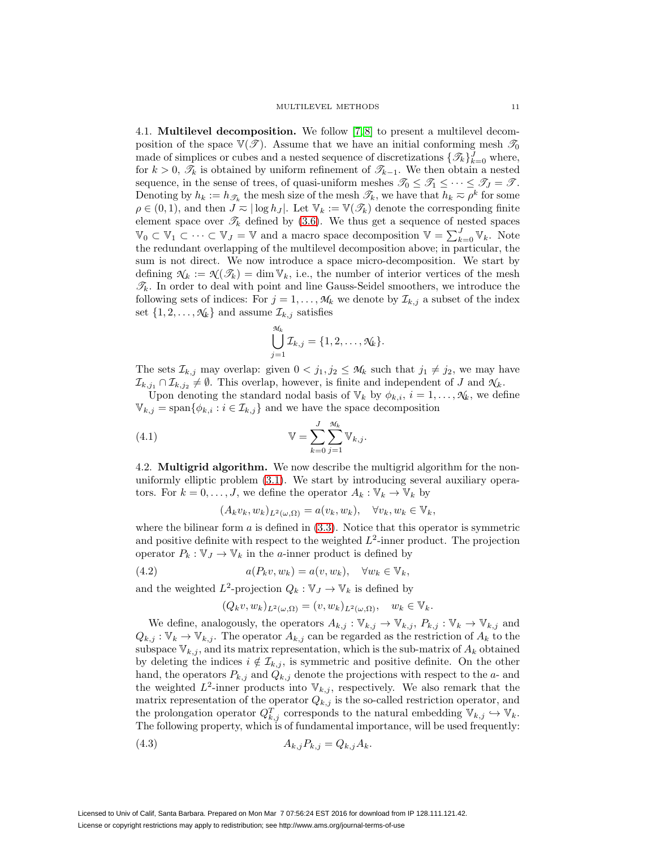<span id="page-10-2"></span>4.1. **Multilevel decomposition.** We follow [\[7,](#page-22-16) [8\]](#page-22-11) to present a multilevel decomposition of the space  $\mathbb{V}(\mathcal{T})$ . Assume that we have an initial conforming mesh  $\mathcal{T}_0$ made of simplices or cubes and a nested sequence of discretizations  $\{\mathcal{I}_k\}_{k=0}^J$  where, for  $k > 0$ ,  $\mathcal{T}_k$  is obtained by uniform refinement of  $\mathcal{T}_{k-1}$ . We then obtain a nested sequence, in the sense of trees, of quasi-uniform meshes  $\mathscr{T}_0 \leq \mathscr{T}_1 \leq \cdots \leq \mathscr{T}_J = \mathscr{T}$ . Denoting by  $h_k := h_{\mathscr{T}_k}$  the mesh size of the mesh  $\mathscr{T}_k$ , we have that  $h_k \approx \rho^k$  for some  $\rho \in (0,1)$ , and then  $J \n\approx |\log h_J|$ . Let  $\mathbb{V}_k := \mathbb{V}(\mathscr{T}_k)$  denote the corresponding finite element space over  $\mathcal{T}_k$  defined by [\(3.6\)](#page-7-1). We thus get a sequence of nested spaces  $\mathbb{V}_0 \subset \mathbb{V}_1 \subset \cdots \subset \mathbb{V}_J = \mathbb{V}$  and a macro space decomposition  $\mathbb{V} = \sum_{k=0}^J \mathbb{V}_k$ . Note the redundant overlapping of the multilevel decomposition above; in particular, the sum is not direct. We now introduce a space micro-decomposition. We start by defining  $\mathcal{N}_k := \mathcal{N}(\mathcal{F}_k) = \dim \mathbb{V}_k$ , i.e., the number of interior vertices of the mesh  $\mathcal{T}_k$ . In order to deal with point and line Gauss-Seidel smoothers, we introduce the following sets of indices: For  $j = 1, \ldots, M_k$  we denote by  $\mathcal{I}_{k,j}$  a subset of the index set  $\{1, 2, \ldots, \mathcal{N}_k\}$  and assume  $\mathcal{I}_{k,j}$  satisfies

$$
\bigcup_{j=1}^{\mathcal{M}_k} \mathcal{I}_{k,j} = \{1, 2, \ldots, \mathcal{N}_k\}.
$$

The sets  $\mathcal{I}_{k,j}$  may overlap: given  $0 < j_1, j_2 \leq \mathcal{M}_k$  such that  $j_1 \neq j_2$ , we may have  $\mathcal{I}_{k,j_1} \cap \mathcal{I}_{k,j_2} \neq \emptyset$ . This overlap, however, is finite and independent of J and  $\mathcal{N}_k$ .

Upon denoting the standard nodal basis of  $\mathbb{V}_k$  by  $\phi_{k,i}$ ,  $i = 1, \ldots, \mathcal{N}_k$ , we define  $\mathbb{V}_{k,j} = \text{span}\{\phi_{k,i} : i \in \mathcal{I}_{k,j}\}\$ and we have the space decomposition

<span id="page-10-0"></span>(4.1) 
$$
\mathbb{V} = \sum_{k=0}^{J} \sum_{j=1}^{\mathcal{M}_k} \mathbb{V}_{k,j}.
$$

4.2. **Multigrid algorithm.** We now describe the multigrid algorithm for the nonuniformly elliptic problem [\(3.1\)](#page-6-1). We start by introducing several auxiliary operators. For  $k = 0, \ldots, J$ , we define the operator  $A_k : \mathbb{V}_k \to \mathbb{V}_k$  by

$$
(A_k v_k, w_k)_{L^2(\omega,\Omega)} = a(v_k, w_k), \quad \forall v_k, w_k \in \mathbb{V}_k,
$$

where the bilinear form  $a$  is defined in  $(3.3)$ . Notice that this operator is symmetric and positive definite with respect to the weighted  $L^2$ -inner product. The projection operator  $P_k : \mathbb{V}_J \to \mathbb{V}_k$  in the *a*-inner product is defined by

<span id="page-10-1"></span>(4.2) 
$$
a(P_k v, w_k) = a(v, w_k), \quad \forall w_k \in \mathbb{V}_k,
$$

and the weighted  $L^2$ -projection  $Q_k : \mathbb{V}_J \to \mathbb{V}_k$  is defined by

$$
(Q_k v, w_k)_{L^2(\omega,\Omega)} = (v, w_k)_{L^2(\omega,\Omega)}, \quad w_k \in \mathbb{V}_k.
$$

We define, analogously, the operators  $A_{k,j}: \mathbb{V}_{k,j} \to \mathbb{V}_{k,j}$ ,  $P_{k,j}: \mathbb{V}_k \to \mathbb{V}_{k,j}$  and  $Q_{k,j}: \mathbb{V}_k \to \mathbb{V}_{k,j}$ . The operator  $A_{k,j}$  can be regarded as the restriction of  $A_k$  to the subspace  $\mathbb{V}_{k,j}$ , and its matrix representation, which is the sub-matrix of  $A_k$  obtained by deleting the indices  $i \notin \mathcal{I}_{k,j}$ , is symmetric and positive definite. On the other hand, the operators  $P_{k,j}$  and  $Q_{k,j}$  denote the projections with respect to the  $a$ - and the weighted  $L^2$ -inner products into  $\mathbb{V}_{k,j}$ , respectively. We also remark that the matrix representation of the operator  $Q_{k,j}$  is the so-called restriction operator, and the prolongation operator  $Q_{k,j}^T$  corresponds to the natural embedding  $\mathbb{V}_{k,j} \hookrightarrow \mathbb{V}_k$ . The following property, which is of fundamental importance, will be used frequently:

$$
(4.3) \t A_{k,j} P_{k,j} = Q_{k,j} A_k.
$$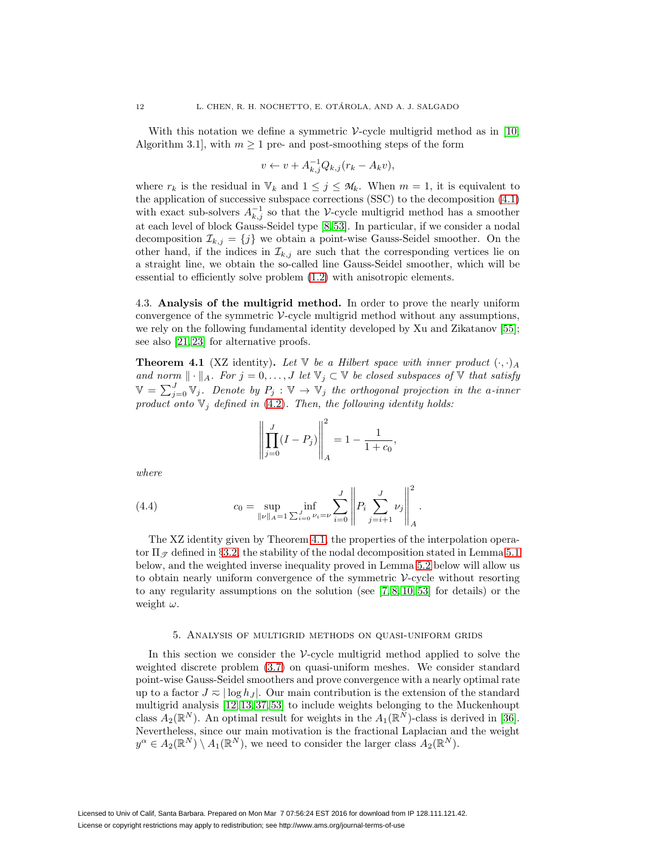With this notation we define a symmetric V-cycle multigrid method as in [\[10,](#page-22-17) Algorithm 3.1, with  $m \geq 1$  pre- and post-smoothing steps of the form

$$
v \leftarrow v + A_{k,j}^{-1} Q_{k,j} (r_k - A_k v),
$$

where  $r_k$  is the residual in  $\mathbb{V}_k$  and  $1 \leq j \leq \mathcal{M}_k$ . When  $m = 1$ , it is equivalent to the application of successive subspace corrections (SSC) to the decomposition [\(4.1\)](#page-10-0) with exact sub-solvers  $A_{k,j}^{-1}$  so that the V-cycle multigrid method has a smoother at each level of block Gauss-Seidel type [\[8,](#page-22-11) [53\]](#page-24-2). In particular, if we consider a nodal decomposition  $\mathcal{I}_{k,j} = \{j\}$  we obtain a point-wise Gauss-Seidel smoother. On the other hand, if the indices in  $\mathcal{I}_{k,j}$  are such that the corresponding vertices lie on a straight line, we obtain the so-called line Gauss-Seidel smoother, which will be essential to efficiently solve problem [\(1.2\)](#page-1-1) with anisotropic elements.

4.3. **Analysis of the multigrid method.** In order to prove the nearly uniform convergence of the symmetric  $\mathcal{V}$ -cycle multigrid method without any assumptions, we rely on the following fundamental identity developed by Xu and Zikatanov [\[55\]](#page-24-3); see also [\[21,](#page-22-18) [23\]](#page-22-19) for alternative proofs.

<span id="page-11-1"></span>**Theorem 4.1** (XZ identity). Let  $\mathbb{V}$  be a Hilbert space with inner product  $(\cdot, \cdot)_A$ and norm  $\|\cdot\|_A$ . For  $j=0,\ldots,J$  let  $\mathbb{V}_j\subset\mathbb{V}$  be closed subspaces of  $\mathbb {V}$  that satisfy  $\mathbb{V} = \sum_{j=0}^{J} \mathbb{V}_j$ . Denote by  $P_j : \mathbb{V} \to \mathbb{V}_j$  the orthogonal projection in the a-inner product onto  $V_j$  defined in [\(4.2\)](#page-10-1). Then, the following identity holds:

$$
\left\| \prod_{j=0}^{J} (I - P_j) \right\|_{A}^{2} = 1 - \frac{1}{1 + c_0},
$$

where

(4.4) 
$$
c_0 = \sup_{\|\nu\|_A = 1} \inf_{\sum_{i=0}^J \nu_i = \nu} \sum_{i=0}^J \left\| P_i \sum_{j=i+1}^J \nu_j \right\|_A^2.
$$

The XZ identity given by Theorem [4.1,](#page-11-1) the properties of the interpolation operator  $\Pi_{\mathcal{F}}$  defined in §[3.2,](#page-7-2) the stability of the nodal decomposition stated in Lemma [5.1](#page-12-0) below, and the weighted inverse inequality proved in Lemma [5.2](#page-12-1) below will allow us to obtain nearly uniform convergence of the symmetric V-cycle without resorting to any regularity assumptions on the solution (see [\[7,](#page-22-16) [8,](#page-22-11) [10,](#page-22-17) [53\]](#page-24-2) for details) or the weight  $\omega$ .

### 5. Analysis of multigrid methods on quasi-uniform grids

<span id="page-11-0"></span>In this section we consider the  $\mathcal V$ -cycle multigrid method applied to solve the weighted discrete problem [\(3.7\)](#page-7-3) on quasi-uniform meshes. We consider standard point-wise Gauss-Seidel smoothers and prove convergence with a nearly optimal rate up to a factor  $J \n\approx |\log h_J|$ . Our main contribution is the extension of the standard multigrid analysis [\[12,](#page-22-9) [13,](#page-22-10) [37,](#page-23-9) [53\]](#page-24-2) to include weights belonging to the Muckenhoupt class  $A_2(\mathbb{R}^N)$ . An optimal result for weights in the  $A_1(\mathbb{R}^N)$ -class is derived in [\[36\]](#page-23-13). Nevertheless, since our main motivation is the fractional Laplacian and the weight  $y^{\alpha} \in A_2(\mathbb{R}^N) \setminus A_1(\mathbb{R}^N)$ , we need to consider the larger class  $A_2(\mathbb{R}^N)$ .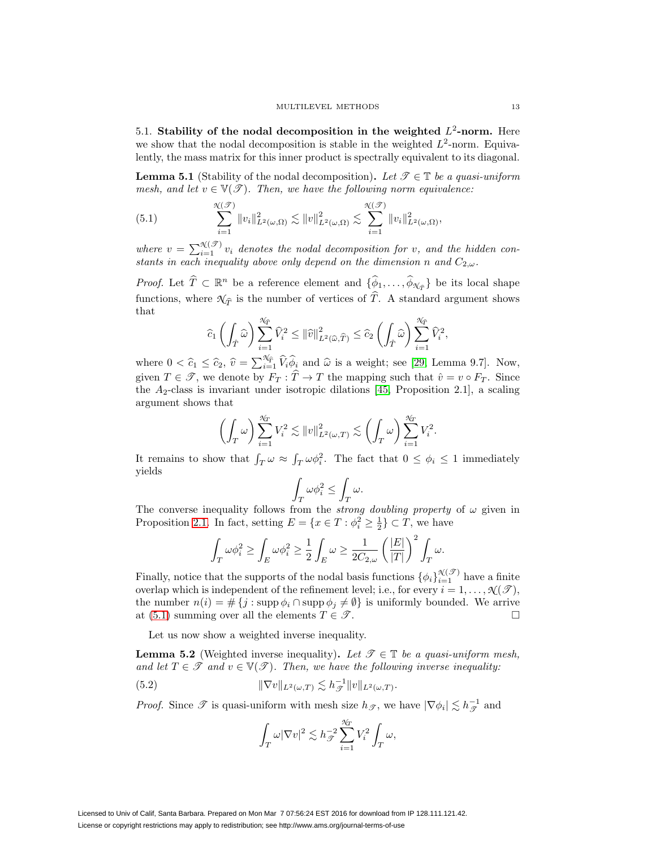5.1. **Stability of the nodal decomposition in the weighted**  $L^2$ -norm. Here we show that the nodal decomposition is stable in the weighted  $L^2$ -norm. Equivalently, the mass matrix for this inner product is spectrally equivalent to its diagonal.

<span id="page-12-0"></span>**Lemma 5.1** (Stability of the nodal decomposition). Let  $\mathscr{T} \in \mathbb{T}$  be a quasi-uniform mesh, and let  $v \in V(\mathcal{T})$ . Then, we have the following norm equivalence:

<span id="page-12-2"></span>(5.1) 
$$
\sum_{i=1}^{\mathcal{X}(\mathcal{F})} ||v_i||_{L^2(\omega,\Omega)}^2 \lesssim ||v||_{L^2(\omega,\Omega)}^2 \lesssim \sum_{i=1}^{\mathcal{X}(\mathcal{F})} ||v_i||_{L^2(\omega,\Omega)}^2,
$$

where  $v = \sum_{i=1}^{\mathcal{N}(\mathcal{T})} v_i$  denotes the nodal decomposition for v, and the hidden constants in each inequality above only depend on the dimension n and  $C_{2,\omega}$ .

*Proof.* Let  $\hat{T} \subset \mathbb{R}^n$  be a reference element and  $\{\hat{\phi}_1,\ldots,\hat{\phi}_{\mathcal{N}_{\hat{\sigma}}}\}\$  be its local shape functions, where  $\mathcal{N}_{\widehat{T}}$  is the number of vertices of  $\widehat{T}$ . A standard argument shows that

$$
\widehat{c}_1\left(\int_{\hat{T}}\widehat{\omega}\right)\sum_{i=1}^{\mathcal{N}_{\widehat{T}}}\widehat{V}_i^2\leq\|\widehat{v}\|_{L^2(\widehat{\omega},\widehat{T})}^2\leq \widehat{c}_2\left(\int_{\hat{T}}\widehat{\omega}\right)\sum_{i=1}^{\mathcal{N}_{\widehat{T}}}\widehat{V}_i^2,
$$

where  $0 < \hat{c}_1 \leq \hat{c}_2$ ,  $\hat{v} = \sum_{i=1}^{\mathcal{N}_{\hat{T}}} \hat{V}_i \hat{\phi}_i$  and  $\hat{\omega}$  is a weight; see [\[29,](#page-23-19) Lemma 9.7]. Now, given  $T \in \mathscr{T}$ , we denote by  $F_T : \widehat{T} \to T$  the mapping such that  $\hat{v} = v \circ F_T$ . Since the  $A_2$ -class is invariant under isotropic dilations [\[45,](#page-23-10) Proposition 2.1], a scaling argument shows that

$$
\left(\int_T\omega\right)\sum_{i=1}^{\mathcal{N}_T}V_i^2\lesssim \|v\|_{L^2(\omega,T)}^2\lesssim \left(\int_T\omega\right)\sum_{i=1}^{\mathcal{N}_T}V_i^2.
$$

It remains to show that  $\int_T \omega \approx \int_T \omega \phi_i^2$ . The fact that  $0 \leq \phi_i \leq 1$  immediately yields

$$
\int_T \omega \phi_i^2 \le \int_T \omega.
$$

The converse inequality follows from the *strong doubling property* of  $\omega$  given in Proposition [2.1.](#page-4-3) In fact, setting  $E = \{x \in T : \phi_i^2 \ge \frac{1}{2}\} \subset T$ , we have

$$
\int_T \omega \phi_i^2 \geq \int_E \omega \phi_i^2 \geq \frac{1}{2} \int_E \omega \geq \frac{1}{2C_{2,\omega}} \left(\frac{|E|}{|T|}\right)^2 \int_T \omega.
$$

Finally, notice that the supports of the nodal basis functions  $\{\phi_i\}_{i=1}^{\mathcal{N}(\mathcal{F})}$  have a finite overlap which is independent of the refinement level; i.e., for every  $i = 1, \ldots, \mathcal{N}(\mathcal{F})$ , the number  $n(i) = # \{j : \text{supp } \phi_i \cap \text{supp } \phi_j \neq \emptyset \}$  is uniformly bounded. We arrive at [\(5.1\)](#page-12-2) summing over all the elements  $T \in \mathscr{T}$ .

Let us now show a weighted inverse inequality.

<span id="page-12-1"></span>**Lemma 5.2** (Weighted inverse inequality). Let  $\mathcal{T} \in \mathbb{T}$  be a quasi-uniform mesh, and let  $T \in \mathcal{T}$  and  $v \in V(\mathcal{T})$ . Then, we have the following inverse inequality:

<span id="page-12-3"></span>(5.2) 
$$
\|\nabla v\|_{L^2(\omega,T)} \lesssim h_{\mathscr{T}}^{-1} \|v\|_{L^2(\omega,T)}.
$$

*Proof.* Since  $\mathscr T$  is quasi-uniform with mesh size  $h_{\mathscr T}$ , we have  $|\nabla \phi_i| \lesssim h_{\mathscr T}^{-1}$  and

$$
\int_T \omega |\nabla v|^2 \lesssim h_{\mathscr{T}}^{-2} \sum_{i=1}^{\mathcal{N}_T} V_i^2 \int_T \omega,
$$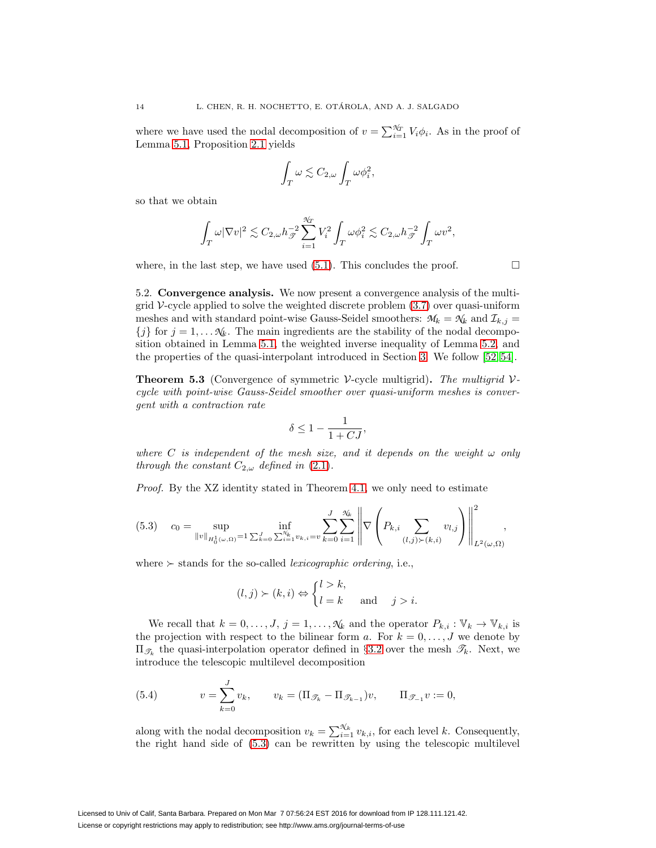where we have used the nodal decomposition of  $v = \sum_{i=1}^{\mathcal{H}} V_i \phi_i$ . As in the proof of Lemma [5.1,](#page-12-0) Proposition [2.1](#page-4-3) yields

$$
\int_T \omega \lesssim C_{2,\omega} \int_T \omega \phi_i^2,
$$

so that we obtain

$$
\int_T \omega |\nabla v|^2 \lesssim C_{2,\omega} h_{\mathscr{T}}^{-2} \sum_{i=1}^{\mathscr{N}_T} V_i^2 \int_T \omega \phi_i^2 \lesssim C_{2,\omega} h_{\mathscr{T}}^{-2} \int_T \omega v^2,
$$

where, in the last step, we have used  $(5.1)$ . This concludes the proof.  $\Box$ 

5.2. **Convergence analysis.** We now present a convergence analysis of the multigrid  $V$ -cycle applied to solve the weighted discrete problem  $(3.7)$  over quasi-uniform meshes and with standard point-wise Gauss-Seidel smoothers:  $M_k = N_k$  and  $\mathcal{I}_{k,j} =$  ${j \atop 1}$  for  $j = 1, \ldots N_k$ . The main ingredients are the stability of the nodal decomposition obtained in Lemma [5.1,](#page-12-0) the weighted inverse inequality of Lemma [5.2,](#page-12-1) and the properties of the quasi-interpolant introduced in Section [3.](#page-6-0) We follow [\[52,](#page-24-7) [54\]](#page-24-8).

<span id="page-13-2"></span>**Theorem 5.3** (Convergence of symmetric V-cycle multigrid). The multigrid Vcycle with point-wise Gauss-Seidel smoother over quasi-uniform meshes is convergent with a contraction rate

$$
\delta \leq 1 - \frac{1}{1 + CJ},
$$

where C is independent of the mesh size, and it depends on the weight  $\omega$  only through the constant  $C_{2,\omega}$  defined in [\(2.1\)](#page-4-2).

Proof. By the XZ identity stated in Theorem [4.1,](#page-11-1) we only need to estimate

<span id="page-13-0"></span>
$$
(5.3) \quad c_0 = \sup_{\|v\|_{H_0^1(\omega,\Omega)}=1} \inf_{\sum_{k=0}^J \sum_{i=1}^{N_k} v_{k,i} = v} \sum_{k=0}^J \sum_{i=1}^{N_k} \left\| \nabla \left( P_{k,i} \sum_{(l,j)\succ(k,i)} v_{l,j} \right) \right\|_{L^2(\omega,\Omega)}^2,
$$

where  $\succ$  stands for the so-called *lexicographic ordering*, i.e.,

$$
(l, j) \succ (k, i) \Leftrightarrow \begin{cases} l > k, \\ l = k \end{cases}
$$
 and  $j > i$ .

We recall that  $k = 0, \ldots, J, j = 1, \ldots, \mathcal{N}_k$  and the operator  $P_{k,i} : \mathbb{V}_k \to \mathbb{V}_{k,i}$  is the projection with respect to the bilinear form a. For  $k = 0, \ldots, J$  we denote by  $\Pi_{\mathcal{F}_k}$  the quasi-interpolation operator defined in §[3.2](#page-7-2) over the mesh  $\mathcal{F}_k$ . Next, we introduce the telescopic multilevel decomposition

<span id="page-13-1"></span>(5.4) 
$$
v = \sum_{k=0}^{J} v_k, \qquad v_k = (\Pi_{\mathcal{T}_k} - \Pi_{\mathcal{T}_{k-1}})v, \qquad \Pi_{\mathcal{T}_{-1}} v := 0,
$$

along with the nodal decomposition  $v_k = \sum_{i=1}^{\mathcal{N}_k} v_{k,i}$ , for each level k. Consequently, the right hand side of [\(5.3\)](#page-13-0) can be rewritten by using the telescopic multilevel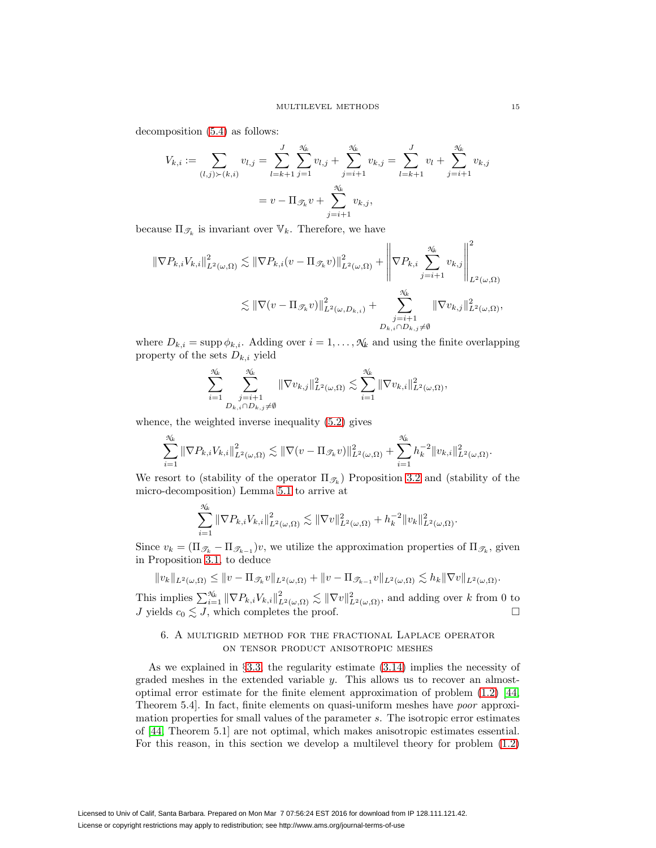decomposition [\(5.4\)](#page-13-1) as follows:

$$
V_{k,i} := \sum_{(l,j)\succ(k,i)} v_{l,j} = \sum_{l=k+1}^{J} \sum_{j=1}^{\mathcal{N}_k} v_{l,j} + \sum_{j=i+1}^{\mathcal{N}_k} v_{k,j} = \sum_{l=k+1}^{J} v_l + \sum_{j=i+1}^{\mathcal{N}_k} v_{k,j}
$$

$$
= v - \Pi_{\mathcal{I}_k} v + \sum_{j=i+1}^{\mathcal{N}_k} v_{k,j},
$$

because  $\Pi_{\mathscr{T}_k}$  is invariant over  $\mathbb{V}_k$ . Therefore, we have

$$
\|\nabla P_{k,i}V_{k,i}\|_{L^2(\omega,\Omega)}^2 \lesssim \|\nabla P_{k,i}(v - \Pi_{\mathscr{T}_k}v)\|_{L^2(\omega,\Omega)}^2 + \left\|\nabla P_{k,i}\sum_{j=i+1}^{\mathscr{N}_k} v_{k,j}\right\|_{L^2(\omega,\Omega)}^2
$$
  

$$
\lesssim \|\nabla (v - \Pi_{\mathscr{T}_k}v)\|_{L^2(\omega,D_{k,i})}^2 + \sum_{\substack{j=i+1 \ D_{k,i}\cap D_{k,j}\neq\emptyset}}^{\mathscr{N}_k} \|\nabla v_{k,j}\|_{L^2(\omega,\Omega)}^2,
$$

where  $D_{k,i} = \text{supp } \phi_{k,i}$ . Adding over  $i = 1, \ldots, \mathcal{N}_k$  and using the finite overlapping property of the sets  $D_{k,i}$  yield

$$
\sum_{i=1}^{\mathcal{N}_k} \sum_{\substack{j=i+1 \ D_{k,i} \cap D_{k,j} \neq \emptyset}}^{\mathcal{N}_k} \|\nabla v_{k,j}\|_{L^2(\omega,\Omega)}^2 \lesssim \sum_{i=1}^{\mathcal{N}_k} \|\nabla v_{k,i}\|_{L^2(\omega,\Omega)}^2,
$$

whence, the weighted inverse inequality [\(5.2\)](#page-12-3) gives

$$
\sum_{i=1}^{\mathcal{N}_k} \|\nabla P_{k,i} V_{k,i}\|_{L^2(\omega,\Omega)}^2 \lesssim \|\nabla (v - \Pi_{\mathscr{T}_k} v)\|_{L^2(\omega,\Omega)}^2 + \sum_{i=1}^{\mathcal{N}_k} h_k^{-2} \|v_{k,i}\|_{L^2(\omega,\Omega)}^2.
$$

We resort to (stability of the operator  $\Pi_{\mathcal{T}_k}$ ) Proposition [3.2](#page-8-5) and (stability of the micro-decomposition) Lemma [5.1](#page-12-0) to arrive at

$$
\sum_{i=1}^{\mathcal{N}_k} \|\nabla P_{k,i} V_{k,i}\|_{L^2(\omega,\Omega)}^2 \lesssim \|\nabla v\|_{L^2(\omega,\Omega)}^2 + h_k^{-2} \|v_k\|_{L^2(\omega,\Omega)}^2.
$$

Since  $v_k = (\Pi_{\mathscr{T}_k} - \Pi_{\mathscr{T}_{k-1}})v$ , we utilize the approximation properties of  $\Pi_{\mathscr{T}_k}$ , given in Proposition [3.1,](#page-8-6) to deduce

$$
||v_k||_{L^2(\omega,\Omega)} \le ||v - \Pi_{\mathscr{T}_k}v||_{L^2(\omega,\Omega)} + ||v - \Pi_{\mathscr{T}_{k-1}}v||_{L^2(\omega,\Omega)} \lesssim h_k ||\nabla v||_{L^2(\omega,\Omega)}.
$$

This implies  $\sum_{i=1}^{\mathcal{N}_k} \|\nabla P_{k,i} V_{k,i}\|_{L^2(\omega,\Omega)}^2 \lesssim \|\nabla v\|_{L^2(\omega,\Omega)}^2$ , and adding over k from 0 to J yields  $c_0 \lesssim J$ , which completes the proof.

# <span id="page-14-0"></span>6. A multigrid method for the fractional Laplace operator on tensor product anisotropic meshes

As we explained in §[3.3,](#page-8-7) the regularity estimate [\(3.14\)](#page-8-1) implies the necessity of graded meshes in the extended variable y. This allows us to recover an almostoptimal error estimate for the finite element approximation of problem [\(1.2\)](#page-1-1) [\[44,](#page-23-1) Theorem 5.4]. In fact, finite elements on quasi-uniform meshes have poor approximation properties for small values of the parameter s. The isotropic error estimates of [\[44,](#page-23-1) Theorem 5.1] are not optimal, which makes anisotropic estimates essential. For this reason, in this section we develop a multilevel theory for problem [\(1.2\)](#page-1-1)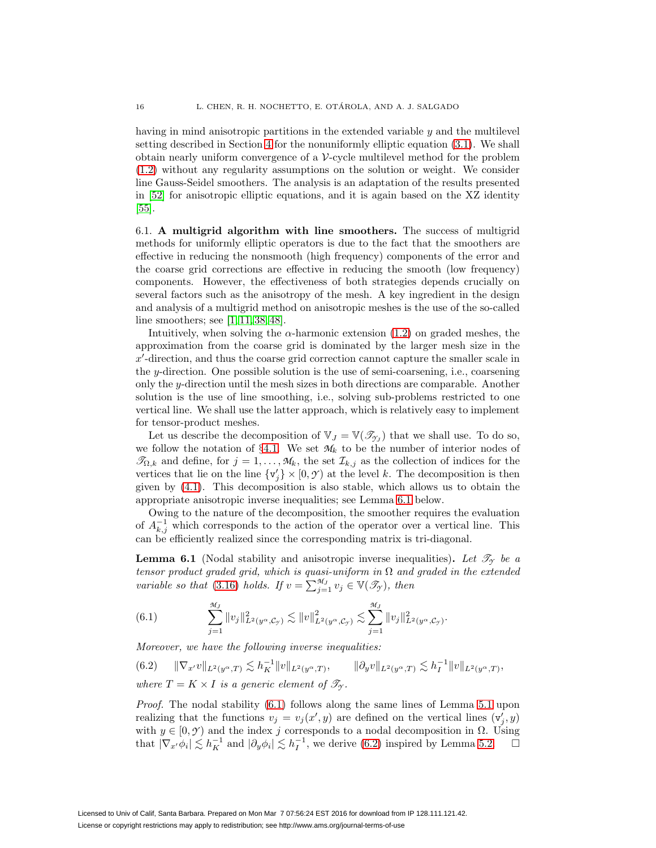having in mind anisotropic partitions in the extended variable y and the multilevel setting described in Section [4](#page-9-0) for the nonuniformly elliptic equation [\(3.1\)](#page-6-1). We shall obtain nearly uniform convergence of a  $\mathcal V$ -cycle multilevel method for the problem [\(1.2\)](#page-1-1) without any regularity assumptions on the solution or weight. We consider line Gauss-Seidel smoothers. The analysis is an adaptation of the results presented in [\[52\]](#page-24-7) for anisotropic elliptic equations, and it is again based on the XZ identity [\[55\]](#page-24-3).

6.1. **A multigrid algorithm with line smoothers.** The success of multigrid methods for uniformly elliptic operators is due to the fact that the smoothers are effective in reducing the nonsmooth (high frequency) components of the error and the coarse grid corrections are effective in reducing the smooth (low frequency) components. However, the effectiveness of both strategies depends crucially on several factors such as the anisotropy of the mesh. A key ingredient in the design and analysis of a multigrid method on anisotropic meshes is the use of the so-called line smoothers; see [\[1,](#page-21-3) [11,](#page-22-13) [38,](#page-23-20) [48\]](#page-24-9).

Intuitively, when solving the  $\alpha$ -harmonic extension [\(1.2\)](#page-1-1) on graded meshes, the approximation from the coarse grid is dominated by the larger mesh size in the x -direction, and thus the coarse grid correction cannot capture the smaller scale in the y-direction. One possible solution is the use of semi-coarsening, i.e., coarsening only the y-direction until the mesh sizes in both directions are comparable. Another solution is the use of line smoothing, i.e., solving sub-problems restricted to one vertical line. We shall use the latter approach, which is relatively easy to implement for tensor-product meshes.

Let us describe the decomposition of  $V_J = V(\mathcal{T}_{\gamma_J})$  that we shall use. To do so, we follow the notation of  $\S 4.1$ . We set  $M_k$  to be the number of interior nodes of  $\mathcal{T}_{\Omega,k}$  and define, for  $j = 1, \ldots, \mathcal{M}_k$ , the set  $\mathcal{I}_{k,j}$  as the collection of indices for the vertices that lie on the line  $\{v_j'\}\times[0,\mathcal{Y})$  at the level k. The decomposition is then given by  $(4.1)$ . This decomposition is also stable, which allows us to obtain the appropriate anisotropic inverse inequalities; see Lemma [6.1](#page-15-0) below.

Owing to the nature of the decomposition, the smoother requires the evaluation of  $A_{k,j}^{-1}$  which corresponds to the action of the operator over a vertical line. This can be efficiently realized since the corresponding matrix is tri-diagonal.

<span id="page-15-0"></span>**Lemma 6.1** (Nodal stability and anisotropic inverse inequalities). Let  $\mathcal{T}_{\gamma}$  be a tensor product graded grid, which is quasi-uniform in  $\Omega$  and graded in the extended variable so that [\(3.16\)](#page-9-1) holds. If  $v = \sum_{j=1}^{M_J} v_j \in V(\mathscr{T}_{\mathcal{T}})$ , then

<span id="page-15-1"></span>(6.1) 
$$
\sum_{j=1}^{\mathcal{M}_J} ||v_j||^2_{L^2(y^{\alpha}, \mathcal{C}_{\mathcal{Y}})} \lesssim ||v||^2_{L^2(y^{\alpha}, \mathcal{C}_{\mathcal{Y}})} \lesssim \sum_{j=1}^{\mathcal{M}_J} ||v_j||^2_{L^2(y^{\alpha}, \mathcal{C}_{\mathcal{Y}})}.
$$

Moreover, we have the following inverse inequalities:

<span id="page-15-2"></span> $(6.2) \qquad \|\nabla_{x'}v\|_{L^2(y^{\alpha},T)} \lesssim h_K^{-1} \|v\|_{L^2(y^{\alpha},T)}, \qquad \|\partial_y v\|_{L^2(y^{\alpha},T)} \lesssim h_I^{-1} \|v\|_{L^2(y^{\alpha},T)},$ where  $T = K \times I$  is a generic element of  $\mathcal{T}_{\gamma}$ .

Proof. The nodal stability [\(6.1\)](#page-15-1) follows along the same lines of Lemma [5.1](#page-12-0) upon realizing that the functions  $v_j = v_j(x', y)$  are defined on the vertical lines  $(v'_j, y)$ with  $y \in [0, \mathcal{Y})$  and the index j corresponds to a nodal decomposition in  $\Omega$ . Using that  $|\nabla_{x'} \phi_i| \lesssim h_K^{-1}$  and  $|\partial_y \phi_i| \lesssim h_I^{-1}$ , we derive [\(6.2\)](#page-15-2) inspired by Lemma [5.2.](#page-12-1)  $\square$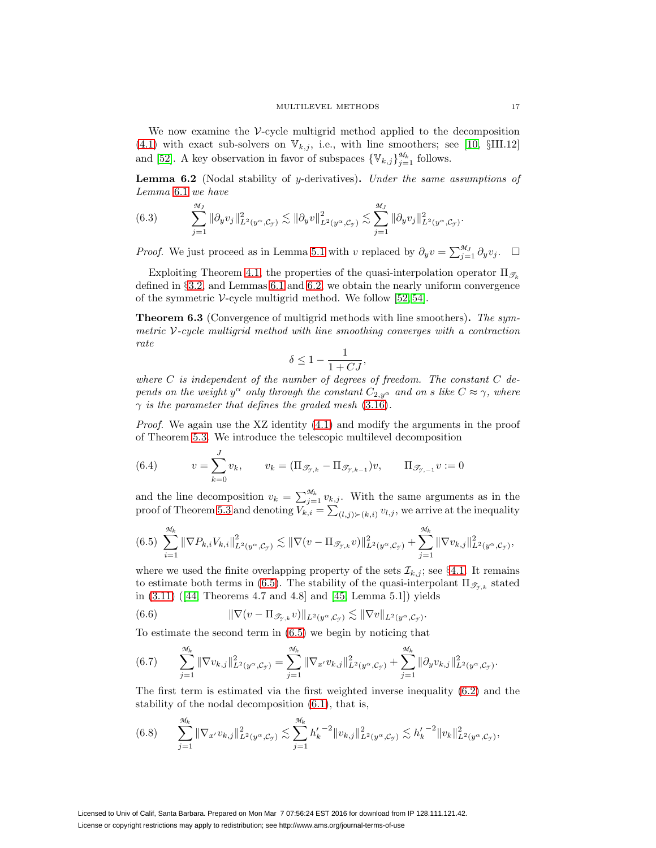We now examine the V-cycle multigrid method applied to the decomposition [\(4.1\)](#page-10-0) with exact sub-solvers on  $\mathbb{V}_{k,j}$ , i.e., with line smoothers; see [\[10,](#page-22-17) §III.12] and [\[52\]](#page-24-7). A key observation in favor of subspaces  $\{\mathbb{V}_{k,j}\}_{j=1}^{\mathcal{M}_k}$  follows.

<span id="page-16-0"></span>**Lemma 6.2** (Nodal stability of y-derivatives)**.** Under the same assumptions of Lemma [6.1](#page-15-0) we have

(6.3) 
$$
\sum_{j=1}^{\mathcal{M}_J} \|\partial_y v_j\|_{L^2(y^{\alpha}, \mathcal{C}_{\mathcal{Y}})}^2 \lesssim \|\partial_y v\|_{L^2(y^{\alpha}, \mathcal{C}_{\mathcal{Y}})}^2 \lesssim \sum_{j=1}^{\mathcal{M}_J} \|\partial_y v_j\|_{L^2(y^{\alpha}, \mathcal{C}_{\mathcal{Y}})}^2.
$$

*Proof.* We just proceed as in Lemma [5.1](#page-12-0) with v replaced by  $\partial_y v = \sum_{j=1}^{\mathcal{M}_J} \partial_y v_j$ .  $\Box$ 

Exploiting Theorem [4.1,](#page-11-1) the properties of the quasi-interpolation operator  $\Pi_{\mathcal{F}_k}$ defined in §[3.2,](#page-7-2) and Lemmas [6.1](#page-15-0) and [6.2,](#page-16-0) we obtain the nearly uniform convergence of the symmetric V-cycle multigrid method. We follow  $[52, 54]$  $[52, 54]$ .

<span id="page-16-5"></span>**Theorem 6.3** (Convergence of multigrid methods with line smoothers)**.** The symmetric  $V$ -cycle multigrid method with line smoothing converges with a contraction rate

$$
\delta \le 1 - \frac{1}{1 + CJ},
$$

where  $C$  is independent of the number of degrees of freedom. The constant  $C$  depends on the weight  $y^{\alpha}$  only through the constant  $C_{2,y^{\alpha}}$  and on s like  $C \approx \gamma$ , where  $\gamma$  is the parameter that defines the graded mesh [\(3.16\)](#page-9-1).

Proof. We again use the XZ identity [\(4.1\)](#page-11-1) and modify the arguments in the proof of Theorem [5.3.](#page-13-2) We introduce the telescopic multilevel decomposition

(6.4) 
$$
v = \sum_{k=0}^{J} v_k, \qquad v_k = (\Pi_{\mathcal{I}_{\mathcal{J},k}} - \Pi_{\mathcal{I}_{\mathcal{J},k-1}})v, \qquad \Pi_{\mathcal{I}_{\mathcal{J},-1}} v := 0
$$

and the line decomposition  $v_k = \sum_{j=1}^{\mathcal{M}_k} v_{k,j}$ . With the same arguments as in the proof of Theorem [5.3](#page-13-2) and denoting  $V_{k,i} = \sum_{(l,j) \succ (k,i)} v_{l,j}$ , we arrive at the inequality

<span id="page-16-1"></span>
$$
(6.5) \sum_{i=1}^{\mathcal{M}_k} \|\nabla P_{k,i} V_{k,i}\|_{L^2(y^{\alpha}, \mathcal{C}_{\mathcal{Y}})}^2 \lesssim \|\nabla (v - \Pi_{\mathcal{J}_{\mathcal{Y},k}} v)\|_{L^2(y^{\alpha}, \mathcal{C}_{\mathcal{Y}})}^2 + \sum_{j=1}^{\mathcal{M}_k} \|\nabla v_{k,j}\|_{L^2(y^{\alpha}, \mathcal{C}_{\mathcal{Y}})}^2,
$$

where we used the finite overlapping property of the sets  $\mathcal{I}_{k,j}$ ; see §[4.1.](#page-10-2) It remains to estimate both terms in [\(6.5\)](#page-16-1). The stability of the quasi-interpolant  $\Pi_{\mathscr{T}_{\kappa}}$  stated in [\(3.11\)](#page-8-8) ([\[44,](#page-23-1) Theorems 4.7 and 4.8] and [\[45,](#page-23-10) Lemma 5.1]) yields

<span id="page-16-4"></span>(6.6) 
$$
\|\nabla(v - \Pi_{\mathscr{T}_{\mathcal{T},k}}v)\|_{L^2(y^{\alpha}, \mathcal{C}_{\mathcal{T}})} \lesssim \|\nabla v\|_{L^2(y^{\alpha}, \mathcal{C}_{\mathcal{T}})}.
$$

To estimate the second term in [\(6.5\)](#page-16-1) we begin by noticing that

<span id="page-16-3"></span>(6.7) 
$$
\sum_{j=1}^{\mathcal{M}_k} \|\nabla v_{k,j}\|_{L^2(y^{\alpha}, \mathcal{C}_{\mathcal{Y}})}^2 = \sum_{j=1}^{\mathcal{M}_k} \|\nabla_{x'} v_{k,j}\|_{L^2(y^{\alpha}, \mathcal{C}_{\mathcal{Y}})}^2 + \sum_{j=1}^{\mathcal{M}_k} \|\partial_y v_{k,j}\|_{L^2(y^{\alpha}, \mathcal{C}_{\mathcal{Y}})}^2.
$$

The first term is estimated via the first weighted inverse inequality [\(6.2\)](#page-15-2) and the stability of the nodal decomposition [\(6.1\)](#page-15-1), that is,

<span id="page-16-2"></span>
$$
(6.8) \qquad \sum_{j=1}^{\mathcal{M}_k} \|\nabla_{x'} v_{k,j}\|_{L^2(y^{\alpha}, \mathcal{C}_{\mathcal{Y}})}^2 \lesssim \sum_{j=1}^{\mathcal{M}_k} h'_k^{-2} \|v_{k,j}\|_{L^2(y^{\alpha}, \mathcal{C}_{\mathcal{Y}})}^2 \lesssim h'_k^{-2} \|v_k\|_{L^2(y^{\alpha}, \mathcal{C}_{\mathcal{Y}})}^2,
$$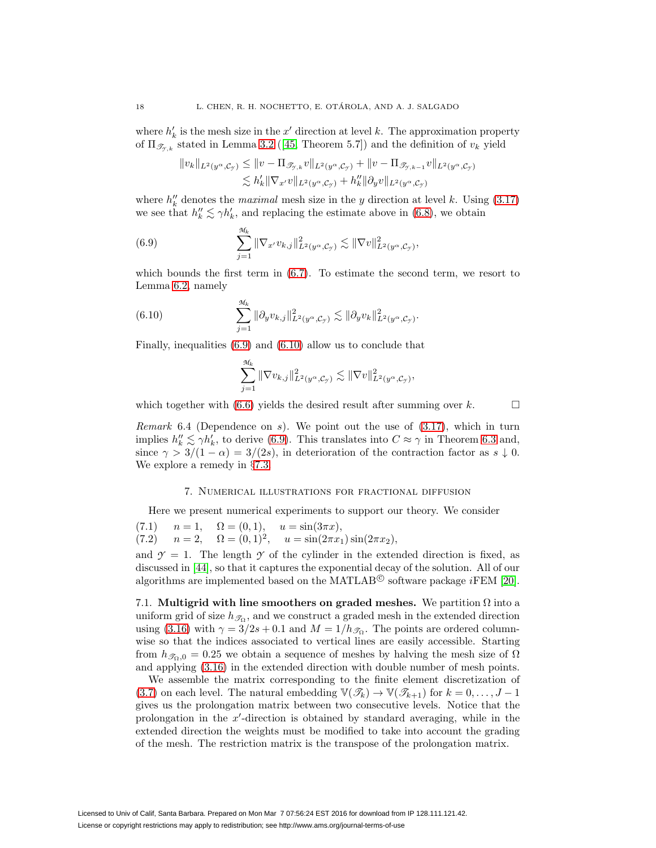where  $h'_k$  is the mesh size in the x' direction at level k. The approximation property of  $\Pi_{\mathscr{T}_{x,k}}$  stated in Lemma [3.2](#page-9-2) ([\[45,](#page-23-10) Theorem 5.7]) and the definition of  $v_k$  yield

$$
||v_k||_{L^2(y^\alpha, \mathcal{C}_{\mathcal{Y}})} \le ||v - \Pi_{\mathscr{T}_{\mathcal{Y},k}} v||_{L^2(y^\alpha, \mathcal{C}_{\mathcal{Y}})} + ||v - \Pi_{\mathscr{T}_{\mathcal{Y},k-1}} v||_{L^2(y^\alpha, \mathcal{C}_{\mathcal{Y}})}
$$
  

$$
\lesssim h'_k ||\nabla_{x'} v||_{L^2(y^\alpha, \mathcal{C}_{\mathcal{Y}})} + h''_k ||\partial_y v||_{L^2(y^\alpha, \mathcal{C}_{\mathcal{Y}})}
$$

where  $h''_k$  denotes the *maximal* mesh size in the y direction at level k. Using [\(3.17\)](#page-9-3) we see that  $h''_k \lesssim \gamma h'_k$ , and replacing the estimate above in [\(6.8\)](#page-16-2), we obtain

<span id="page-17-1"></span>(6.9) 
$$
\sum_{j=1}^{\mathcal{M}_k} \|\nabla_{x'} v_{k,j}\|_{L^2(y^{\alpha}, \mathcal{C}_{\mathcal{I}})}^2 \lesssim \|\nabla v\|_{L^2(y^{\alpha}, \mathcal{C}_{\mathcal{I}})}^2,
$$

which bounds the first term in  $(6.7)$ . To estimate the second term, we resort to Lemma [6.2,](#page-16-0) namely

<span id="page-17-2"></span>(6.10) 
$$
\sum_{j=1}^{\mathcal{M}_k} \|\partial_y v_{k,j}\|_{L^2(y^{\alpha}, \mathcal{C}_{\mathcal{Y}})}^2 \lesssim \|\partial_y v_k\|_{L^2(y^{\alpha}, \mathcal{C}_{\mathcal{Y}})}^2.
$$

Finally, inequalities [\(6.9\)](#page-17-1) and [\(6.10\)](#page-17-2) allow us to conclude that

$$
\sum_{j=1}^{\mathcal{M}_k} \|\nabla v_{k,j}\|_{L^2(y^{\alpha}, \mathcal{C}_{\mathcal{Y}})}^2 \lesssim \|\nabla v\|_{L^2(y^{\alpha}, \mathcal{C}_{\mathcal{Y}})}^2,
$$

which together with [\(6.6\)](#page-16-4) yields the desired result after summing over  $k$ .

*Remark* 6.4 (Dependence on s). We point out the use of  $(3.17)$ , which in turn implies  $h''_k \lesssim \gamma h'_k$ , to derive [\(6.9\)](#page-17-1). This translates into  $C \approx \gamma$  in Theorem [6.3](#page-16-5) and, since  $\gamma > 3/(1 - \alpha) = 3/(2s)$ , in deterioration of the contraction factor as  $s \downarrow 0$ . We explore a remedy in §[7.3.](#page-19-0)

### 7. Numerical illustrations for fractional diffusion

<span id="page-17-0"></span>Here we present numerical experiments to support our theory. We consider

(7.1) 
$$
n = 1
$$
,  $\Omega = (0, 1)$ ,  $u = \sin(3\pi x)$ ,  
(7.2)  $n = 2$ ,  $\Omega = (0, 1)^2$ ,  $u = \sin(2\pi x_1)\sin(2\pi x_2)$ ,

and  $\gamma = 1$ . The length  $\gamma$  of the cylinder in the extended direction is fixed, as discussed in [\[44\]](#page-23-1), so that it captures the exponential decay of the solution. All of our algorithms are implemented based on the MATLAB<sup> $\odot$ </sup> software package *iFEM* [\[20\]](#page-22-20).

<span id="page-17-3"></span>7.1. **Multigrid with line smoothers on graded meshes.** We partition Ω into a uniform grid of size  $h_{\mathcal{T}_{\Omega}}$ , and we construct a graded mesh in the extended direction using [\(3.16\)](#page-9-1) with  $\gamma = 3/2s + 0.1$  and  $M = 1/h_{\mathcal{S}_\Omega}$ . The points are ordered columnwise so that the indices associated to vertical lines are easily accessible. Starting from  $h_{\mathscr{T}_0,0} = 0.25$  we obtain a sequence of meshes by halving the mesh size of  $\Omega$ and applying [\(3.16\)](#page-9-1) in the extended direction with double number of mesh points.

We assemble the matrix corresponding to the finite element discretization of [\(3.7\)](#page-7-3) on each level. The natural embedding  $\mathbb{V}(\mathcal{T}_k) \to \mathbb{V}(\mathcal{T}_{k+1})$  for  $k = 0, \ldots, J-1$ gives us the prolongation matrix between two consecutive levels. Notice that the prolongation in the x -direction is obtained by standard averaging, while in the extended direction the weights must be modified to take into account the grading of the mesh. The restriction matrix is the transpose of the prolongation matrix.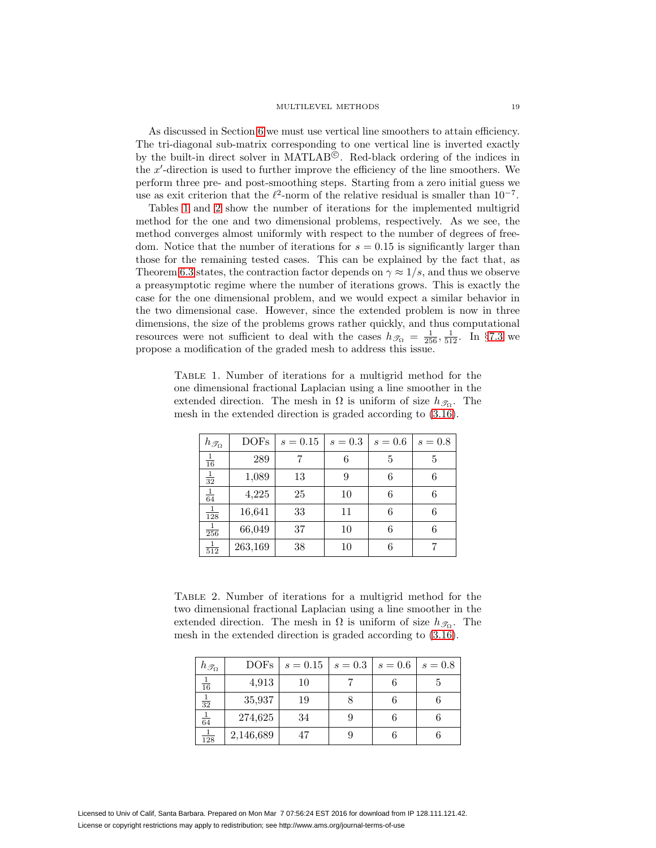As discussed in Section [6](#page-14-0) we must use vertical line smoothers to attain efficiency. The tri-diagonal sub-matrix corresponding to one vertical line is inverted exactly by the built-in direct solver in MATLAB<sup>©</sup>. Red-black ordering of the indices in the x -direction is used to further improve the efficiency of the line smoothers. We perform three pre- and post-smoothing steps. Starting from a zero initial guess we use as exit criterion that the  $\ell^2$ -norm of the relative residual is smaller than  $10^{-7}$ .

Tables [1](#page-18-0) and [2](#page-18-1) show the number of iterations for the implemented multigrid method for the one and two dimensional problems, respectively. As we see, the method converges almost uniformly with respect to the number of degrees of freedom. Notice that the number of iterations for  $s = 0.15$  is significantly larger than those for the remaining tested cases. This can be explained by the fact that, as Theorem [6.3](#page-16-5) states, the contraction factor depends on  $\gamma \approx 1/s$ , and thus we observe a preasymptotic regime where the number of iterations grows. This is exactly the case for the one dimensional problem, and we would expect a similar behavior in the two dimensional case. However, since the extended problem is now in three dimensions, the size of the problems grows rather quickly, and thus computational resources were not sufficient to deal with the cases  $h_{\mathscr{T}_{\Omega}} = \frac{1}{256}, \frac{1}{512}$ . In §[7.3](#page-19-0) we propose a modification of the graded mesh to address this issue.

<span id="page-18-0"></span>Table 1. Number of iterations for a multigrid method for the one dimensional fractional Laplacian using a line smoother in the extended direction. The mesh in  $\Omega$  is uniform of size  $h_{\mathscr{T}_{\Omega}}$ . The mesh in the extended direction is graded according to [\(3.16\)](#page-9-1).

| $h_{\mathscr{T}_{\Omega}}$ | <b>DOFs</b> | $s = 0.15$ | $s=0.3$ | $s=0.6$ | $s=0.8$ |
|----------------------------|-------------|------------|---------|---------|---------|
| $\frac{1}{16}$             | 289         |            | 6       | 5       | 5       |
| $\frac{1}{32}$             | 1,089       | 13         | g       | 6       |         |
| $\frac{1}{64}$             | 4,225       | 25         | 10      | 6       | 6       |
| $\frac{1}{128}$            | 16,641      | 33         | 11      | 6       | 6       |
| $\frac{1}{256}$            | 66,049      | 37         | 10      | 6       |         |
| $\frac{1}{512}$            | 263,169     | 38         | 10      | 6       |         |

<span id="page-18-1"></span>Table 2. Number of iterations for a multigrid method for the two dimensional fractional Laplacian using a line smoother in the extended direction. The mesh in  $\Omega$  is uniform of size  $h_{\mathscr{T}_{\Omega}}$ . The mesh in the extended direction is graded according to [\(3.16\)](#page-9-1).

| $h_{\mathscr{T}_{\Omega}}$ | <b>DOFs</b> | $s = 0.15$ | $s=0.3$ | $s=0.6$ | $s = 0.8$ |
|----------------------------|-------------|------------|---------|---------|-----------|
| $\frac{1}{16}$             | 4,913       | 10         |         |         |           |
| $rac{1}{32}$               | 35,937      | 19         |         |         |           |
| $rac{1}{64}$               | 274,625     | 34         | 9       |         |           |
| $\frac{1}{128}$            | 2,146,689   | 47         |         |         |           |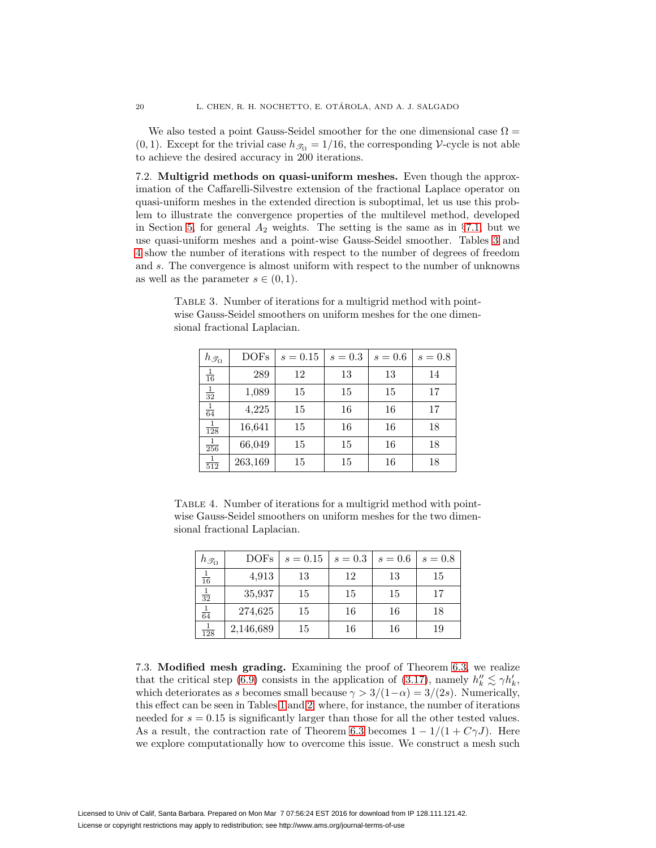We also tested a point Gauss-Seidel smoother for the one dimensional case  $\Omega =$ (0, 1). Except for the trivial case  $h_{\mathcal{T}_{\Omega}} = 1/16$ , the corresponding V-cycle is not able to achieve the desired accuracy in 200 iterations.

7.2. **Multigrid methods on quasi-uniform meshes.** Even though the approximation of the Caffarelli-Silvestre extension of the fractional Laplace operator on quasi-uniform meshes in the extended direction is suboptimal, let us use this problem to illustrate the convergence properties of the multilevel method, developed in Section [5,](#page-11-0) for general  $A_2$  weights. The setting is the same as in §[7.1,](#page-17-3) but we use quasi-uniform meshes and a point-wise Gauss-Seidel smoother. Tables [3](#page-19-1) and [4](#page-19-2) show the number of iterations with respect to the number of degrees of freedom and s. The convergence is almost uniform with respect to the number of unknowns as well as the parameter  $s \in (0,1)$ .

wise Gauss-Seidel smoothers on uniform meshes for the one dimensional fractional Laplacian.

<span id="page-19-1"></span>TABLE 3. Number of iterations for a multigrid method with point-

| $h_{\mathscr{T}_{\Omega}}$ | <b>DOFs</b> | $s = 0.15$ | $s=0.3$ | $s=0.6$ | $s=0.8$ |
|----------------------------|-------------|------------|---------|---------|---------|
| $\frac{1}{16}$             | 289         | 12         | 13      | 13      | 14      |
| $\frac{1}{32}$             | 1,089       | 15         | 15      | 15      | 17      |
| $\frac{1}{64}$             | 4,225       | 15         | 16      | 16      | 17      |
| $\frac{1}{128}$            | 16,641      | 15         | 16      | 16      | 18      |
| $\frac{1}{256}$            | 66,049      | 15         | 15      | 16      | 18      |
| $\frac{1}{512}$            | 263,169     | 15         | 15      | 16      | 18      |

TABLE 4. Number of iterations for a multigrid method with pointwise Gauss-Seidel smoothers on uniform meshes for the two dimensional fractional Laplacian.

<span id="page-19-2"></span>

| $h_{\mathscr{T}_{\Omega}}$ | <b>DOFs</b> | $s = 0.15$ | $s=0.3$ | $s=0.6$ | $s=0.8$ |
|----------------------------|-------------|------------|---------|---------|---------|
| $\frac{1}{16}$             | 4,913       | 13         | 12      | 13      | 15      |
| $\frac{1}{32}$             | 35,937      | 15         | 15      | 15      | 17      |
| $\frac{1}{64}$             | 274,625     | 15         | 16      | 16      | 18      |
| $\frac{1}{128}$            | 2,146,689   | 15         | 16      | 16      | 19      |

<span id="page-19-0"></span>7.3. **Modified mesh grading.** Examining the proof of Theorem [6.3,](#page-16-5) we realize that the critical step [\(6.9\)](#page-17-1) consists in the application of [\(3.17\)](#page-9-3), namely  $h''_k \lesssim \gamma h'_k$ , which deteriorates as s becomes small because  $\gamma > 3/(1-\alpha) = 3/(2s)$ . Numerically, this effect can be seen in Tables [1](#page-18-0) and [2,](#page-18-1) where, for instance, the number of iterations needed for  $s = 0.15$  is significantly larger than those for all the other tested values. As a result, the contraction rate of Theorem [6.3](#page-16-5) becomes  $1 - 1/(1 + C\gamma J)$ . Here we explore computationally how to overcome this issue. We construct a mesh such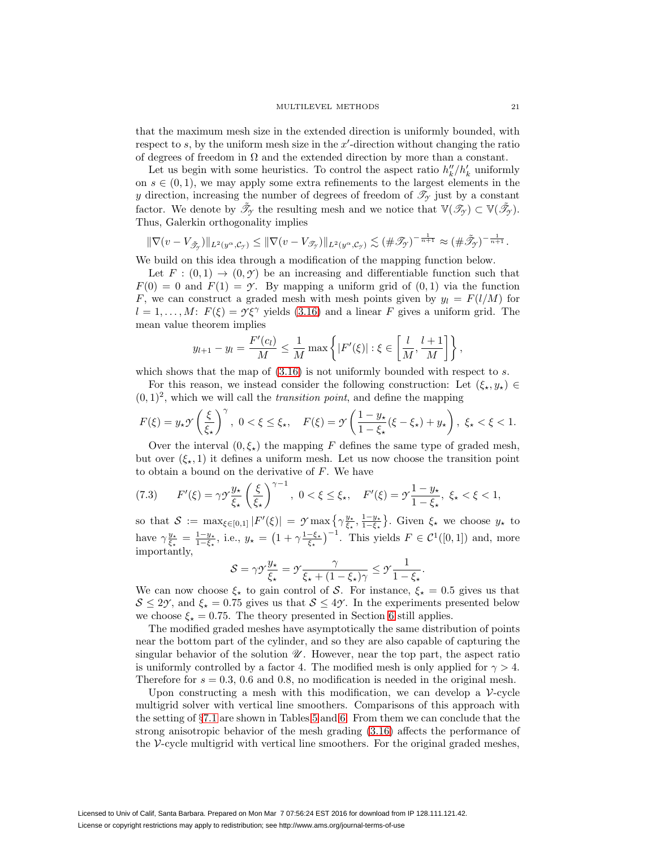that the maximum mesh size in the extended direction is uniformly bounded, with respect to  $s$ , by the uniform mesh size in the  $x'$ -direction without changing the ratio of degrees of freedom in  $\Omega$  and the extended direction by more than a constant.

Let us begin with some heuristics. To control the aspect ratio  $h''_k/h'_k$  uniformly on  $s \in (0, 1)$ , we may apply some extra refinements to the largest elements in the y direction, increasing the number of degrees of freedom of  $\mathscr{T}_{\gamma}$  just by a constant factor. We denote by  $\tilde{\mathcal{I}}_{\mathcal{Y}}$  the resulting mesh and we notice that  $\mathbb{V}(\mathcal{I}_{\mathcal{Y}}) \subset \mathbb{V}(\tilde{\mathcal{I}}_{\mathcal{Y}})$ . Thus, Galerkin orthogonality implies

$$
\|\nabla(v-V_{\tilde{\mathcal{F}}_{\mathcal{Y}}})\|_{L^2(y^{\alpha},\mathcal{C}_{\mathcal{Y}})} \leq \|\nabla(v-V_{\mathcal{F}_{\mathcal{Y}}})\|_{L^2(y^{\alpha},\mathcal{C}_{\mathcal{Y}})} \lesssim (\#\mathcal{F}_{\mathcal{Y}})^{-\frac{1}{n+1}} \approx (\#\tilde{\mathcal{F}}_{\mathcal{Y}})^{-\frac{1}{n+1}}.
$$

We build on this idea through a modification of the mapping function below.

Let  $F : (0,1) \to (0,\mathcal{Y})$  be an increasing and differentiable function such that  $F(0) = 0$  and  $F(1) = \gamma$ . By mapping a uniform grid of  $(0, 1)$  via the function F, we can construct a graded mesh with mesh points given by  $y_l = F(l/M)$  for  $l = 1, \ldots, M$ :  $F(\xi) = \gamma \xi^{\gamma}$  yields [\(3.16\)](#page-9-1) and a linear F gives a uniform grid. The mean value theorem implies

$$
y_{l+1} - y_l = \frac{F'(c_l)}{M} \le \frac{1}{M} \max \left\{ |F'(\xi)| : \xi \in \left[\frac{l}{M}, \frac{l+1}{M}\right] \right\},\
$$

which shows that the map of  $(3.16)$  is not uniformly bounded with respect to s.

For this reason, we instead consider the following construction: Let  $(\xi_*, y_*) \in$  $(0, 1)^2$ , which we will call the *transition point*, and define the mapping

$$
F(\xi) = y_{\star} \mathcal{Y}\left(\frac{\xi}{\xi_{\star}}\right)^{\gamma}, \ 0 < \xi \leq \xi_{\star}, \quad F(\xi) = \mathcal{Y}\left(\frac{1 - y_{\star}}{1 - \xi_{\star}}(\xi - \xi_{\star}) + y_{\star}\right), \ \xi_{\star} < \xi < 1.
$$

Over the interval  $(0, \xi_{\star})$  the mapping F defines the same type of graded mesh, but over  $(\xi_{\star}, 1)$  it defines a uniform mesh. Let us now choose the transition point to obtain a bound on the derivative of  $F$ . We have

<span id="page-20-0"></span>
$$
(7.3) \tF'(\xi) = \gamma \mathcal{Y} \frac{y_{\star}}{\xi_{\star}} \left(\frac{\xi}{\xi_{\star}}\right)^{\gamma - 1}, \ 0 < \xi \le \xi_{\star}, \quad F'(\xi) = \mathcal{Y} \frac{1 - y_{\star}}{1 - \xi_{\star}}, \ \xi_{\star} < \xi < 1,
$$

so that  $S := \max_{\xi \in [0,1]} |F'(\xi)| = \mathcal{I} \max \left\{ \gamma \frac{y_*}{\xi_*}, \frac{1-y_*}{1-\xi_*} \right\}$ . Given  $\xi_*$  we choose  $y_*$  to have  $\gamma_{\xi_{\star}}^{\underline{y}_{\star}} = \frac{1-y_{\star}}{1-\xi_{\star}},$  i.e.,  $y_{\star} = (1 + \gamma \frac{1-\xi_{\star}}{\xi_{\star}})^{-1}$ . This yields  $F \in C^{1}([0,1])$  and, more importantly,

$$
\mathcal{S} = \gamma \mathcal{Y} \frac{y_{\star}}{\xi_{\star}} = \mathcal{Y} \frac{\gamma}{\xi_{\star} + (1 - \xi_{\star})\gamma} \leq \mathcal{Y} \frac{1}{1 - \xi_{\star}}.
$$

We can now choose  $\xi_{\star}$  to gain control of S. For instance,  $\xi_{\star} = 0.5$  gives us that  $S \leq 2\gamma$ , and  $\xi_{\star} = 0.75$  gives us that  $S \leq 4\gamma$ . In the experiments presented below we choose  $\xi_{\star} = 0.75$ . The theory presented in Section [6](#page-14-0) still applies.

The modified graded meshes have asymptotically the same distribution of points near the bottom part of the cylinder, and so they are also capable of capturing the singular behavior of the solution  $\mathcal U$ . However, near the top part, the aspect ratio is uniformly controlled by a factor 4. The modified mesh is only applied for  $\gamma > 4$ . Therefore for  $s = 0.3, 0.6$  and 0.8, no modification is needed in the original mesh.

Upon constructing a mesh with this modification, we can develop a  $\mathcal{V}$ -cycle multigrid solver with vertical line smoothers. Comparisons of this approach with the setting of §[7.1](#page-17-3) are shown in Tables [5](#page-21-4) and [6.](#page-21-5) From them we can conclude that the strong anisotropic behavior of the mesh grading [\(3.16\)](#page-9-1) affects the performance of the  $\nu$ -cycle multigrid with vertical line smoothers. For the original graded meshes,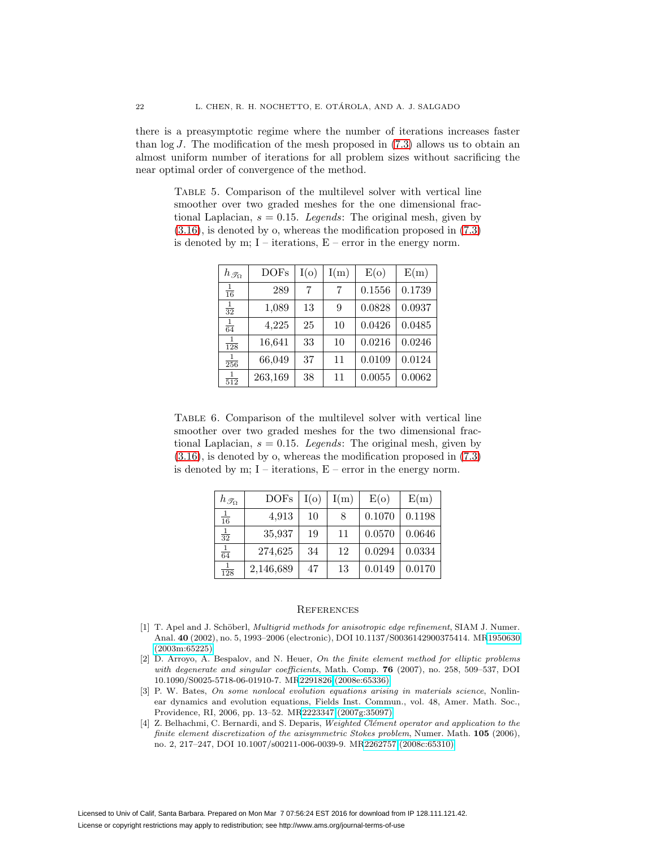there is a preasymptotic regime where the number of iterations increases faster than  $log J$ . The modification of the mesh proposed in [\(7.3\)](#page-20-0) allows us to obtain an almost uniform number of iterations for all problem sizes without sacrificing the near optimal order of convergence of the method.

<span id="page-21-4"></span>Table 5. Comparison of the multilevel solver with vertical line smoother over two graded meshes for the one dimensional fractional Laplacian,  $s = 0.15$ . Legends: The original mesh, given by [\(3.16\)](#page-9-1), is denoted by o, whereas the modification proposed in [\(7.3\)](#page-20-0) is denoted by m;  $I$  – iterations,  $E$  – error in the energy norm.

| $h_{\mathscr{T}_{\Omega}}$ | <b>DOFs</b> | I(o) | I(m) | E(o)   | E(m)   |
|----------------------------|-------------|------|------|--------|--------|
| $\frac{1}{16}$             | 289         | 7    | 7    | 0.1556 | 0.1739 |
| $\frac{1}{32}$             | 1,089       | 13   | 9    | 0.0828 | 0.0937 |
| $\frac{1}{64}$             | 4,225       | 25   | 10   | 0.0426 | 0.0485 |
| 1<br>128                   | 16,641      | 33   | 10   | 0.0216 | 0.0246 |
| $\frac{1}{256}$            | 66,049      | 37   | 11   | 0.0109 | 0.0124 |
| 1.<br>512                  | 263,169     | 38   | 11   | 0.0055 | 0.0062 |

<span id="page-21-5"></span>Table 6. Comparison of the multilevel solver with vertical line smoother over two graded meshes for the two dimensional fractional Laplacian,  $s = 0.15$ . Legends: The original mesh, given by [\(3.16\)](#page-9-1), is denoted by o, whereas the modification proposed in [\(7.3\)](#page-20-0) is denoted by m;  $I$  – iterations,  $E$  – error in the energy norm.

| $h_{\mathscr{T}_{\Omega}}$ | <b>DOFs</b> | I(o) | I(m) | E(o)   | E(m)   |
|----------------------------|-------------|------|------|--------|--------|
| $\frac{1}{16}$             | 4,913       | 10   | 8    | 0.1070 | 0.1198 |
| $\frac{1}{32}$             | 35,937      | 19   | 11   | 0.0570 | 0.0646 |
| $\frac{1}{64}$             | 274,625     | 34   | 12   | 0.0294 | 0.0334 |
| $\frac{1}{128}$            | 2,146,689   | 47   | 13   | 0.0149 | 0.0170 |

#### **REFERENCES**

- <span id="page-21-3"></span>[1] T. Apel and J. Schöberl, *Multigrid methods for anisotropic edge refinement*, SIAM J. Numer. Anal. **40** (2002), no. 5, 1993–2006 (electronic), DOI 10.1137/S0036142900375414. M[R1950630](http://www.ams.org/mathscinet-getitem?mr=1950630) [\(2003m:65225\)](http://www.ams.org/mathscinet-getitem?mr=1950630)
- <span id="page-21-2"></span>[2] D. Arroyo, A. Bespalov, and N. Heuer, On the finite element method for elliptic problems with degenerate and singular coefficients, Math. Comp. **76** (2007), no. 258, 509–537, DOI 10.1090/S0025-5718-06-01910-7. M[R2291826 \(2008e:65336\)](http://www.ams.org/mathscinet-getitem?mr=2291826)
- <span id="page-21-0"></span>[3] P. W. Bates, On some nonlocal evolution equations arising in materials science, Nonlinear dynamics and evolution equations, Fields Inst. Commun., vol. 48, Amer. Math. Soc., Providence, RI, 2006, pp. 13–52. M[R2223347 \(2007g:35097\)](http://www.ams.org/mathscinet-getitem?mr=2223347)
- <span id="page-21-1"></span>[4] Z. Belhachmi, C. Bernardi, and S. Deparis, Weighted Clément operator and application to the finite element discretization of the axisymmetric Stokes problem, Numer. Math. **105** (2006), no. 2, 217–247, DOI 10.1007/s00211-006-0039-9. M[R2262757 \(2008c:65310\)](http://www.ams.org/mathscinet-getitem?mr=2262757)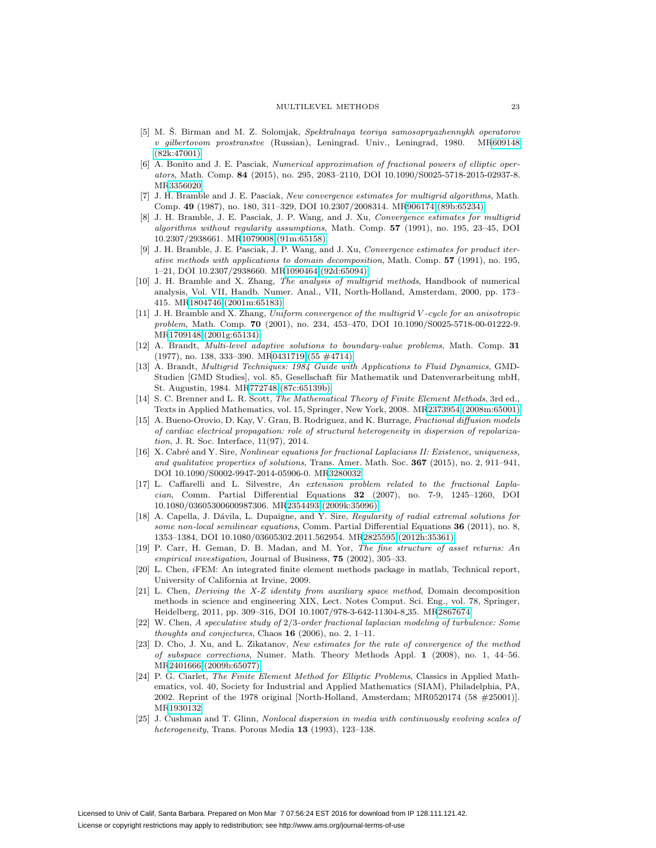- <span id="page-22-8"></span>[5] M. Š. Birman and M. Z. Solomjak, Spektralnaya teoriya samosopryazhennykh operatorov v gilbertovom prostranstve (Russian), Leningrad. Univ., Leningrad, 1980. M[R609148](http://www.ams.org/mathscinet-getitem?mr=609148) [\(82k:47001\)](http://www.ams.org/mathscinet-getitem?mr=609148)
- <span id="page-22-7"></span>[6] A. Bonito and J. E. Pasciak, Numerical approximation of fractional powers of elliptic operators, Math. Comp. **84** (2015), no. 295, 2083–2110, DOI 10.1090/S0025-5718-2015-02937-8. M[R3356020](http://www.ams.org/mathscinet-getitem?mr=3356020)
- <span id="page-22-16"></span>[7] J. H. Bramble and J. E. Pasciak, New convergence estimates for multigrid algorithms, Math. Comp. **49** (1987), no. 180, 311–329, DOI 10.2307/2008314. M[R906174 \(89b:65234\)](http://www.ams.org/mathscinet-getitem?mr=906174)
- <span id="page-22-11"></span>[8] J. H. Bramble, J. E. Pasciak, J. P. Wang, and J. Xu, Convergence estimates for multigrid algorithms without regularity assumptions, Math. Comp. **57** (1991), no. 195, 23–45, DOI 10.2307/2938661. M[R1079008 \(91m:65158\)](http://www.ams.org/mathscinet-getitem?mr=1079008)
- <span id="page-22-12"></span>[9] J. H. Bramble, J. E. Pasciak, J. P. Wang, and J. Xu, Convergence estimates for product iterative methods with applications to domain decomposition, Math. Comp. **57** (1991), no. 195, 1–21, DOI 10.2307/2938660. M[R1090464 \(92d:65094\)](http://www.ams.org/mathscinet-getitem?mr=1090464)
- <span id="page-22-17"></span>[10] J. H. Bramble and X. Zhang, The analysis of multigrid methods, Handbook of numerical analysis, Vol. VII, Handb. Numer. Anal., VII, North-Holland, Amsterdam, 2000, pp. 173– 415. M[R1804746 \(2001m:65183\)](http://www.ams.org/mathscinet-getitem?mr=1804746)
- <span id="page-22-13"></span>[11] J. H. Bramble and X. Zhang, Uniform convergence of the multigrid V -cycle for an anisotropic problem, Math. Comp. **70** (2001), no. 234, 453–470, DOI 10.1090/S0025-5718-00-01222-9. M[R1709148 \(2001g:65134\)](http://www.ams.org/mathscinet-getitem?mr=1709148)
- <span id="page-22-9"></span>[12] A. Brandt, Multi-level adaptive solutions to boundary-value problems, Math. Comp. **31** (1977), no. 138, 333–390. M[R0431719 \(55 #4714\)](http://www.ams.org/mathscinet-getitem?mr=0431719)
- <span id="page-22-10"></span>[13] A. Brandt, Multigrid Techniques: 1984 Guide with Applications to Fluid Dynamics, GMD-Studien [GMD Studies], vol. 85, Gesellschaft für Mathematik und Datenverarbeitung mbH, St. Augustin, 1984. M[R772748 \(87c:65139b\)](http://www.ams.org/mathscinet-getitem?mr=772748)
- <span id="page-22-14"></span>[14] S. C. Brenner and L. R. Scott, The Mathematical Theory of Finite Element Methods, 3rd ed., Texts in Applied Mathematics, vol. 15, Springer, New York, 2008. M[R2373954 \(2008m:65001\)](http://www.ams.org/mathscinet-getitem?mr=2373954)
- <span id="page-22-0"></span>[15] A. Bueno-Orovio, D. Kay, V. Grau, B. Rodriguez, and K. Burrage, Fractional diffusion models of cardiac electrical propagation: role of structural heterogeneity in dispersion of repolarization, J. R. Soc. Interface, 11(97), 2014.
- <span id="page-22-4"></span>[16] X. Cabré and Y. Sire, Nonlinear equations for fractional Laplacians II: Existence, uniqueness, and qualitative properties of solutions, Trans. Amer. Math. Soc. **367** (2015), no. 2, 911–941, DOI 10.1090/S0002-9947-2014-05906-0. M[R3280032](http://www.ams.org/mathscinet-getitem?mr=3280032)
- <span id="page-22-5"></span>[17] L. Caffarelli and L. Silvestre, An extension problem related to the fractional Laplacian, Comm. Partial Differential Equations **32** (2007), no. 7-9, 1245–1260, DOI 10.1080/03605300600987306. M[R2354493 \(2009k:35096\)](http://www.ams.org/mathscinet-getitem?mr=2354493)
- <span id="page-22-6"></span>[18] A. Capella, J. Dávila, L. Dupaigne, and Y. Sire, Regularity of radial extremal solutions for some non-local semilinear equations, Comm. Partial Differential Equations **36** (2011), no. 8, 1353–1384, DOI 10.1080/03605302.2011.562954. M[R2825595 \(2012h:35361\)](http://www.ams.org/mathscinet-getitem?mr=2825595)
- <span id="page-22-1"></span>[19] P. Carr, H. Geman, D. B. Madan, and M. Yor, The fine structure of asset returns: An empirical investigation, Journal of Business, **75** (2002), 305–33.
- <span id="page-22-20"></span>[20] L. Chen, iFEM: An integrated finite element methods package in matlab, Technical report, University of California at Irvine, 2009.
- <span id="page-22-18"></span>[21] L. Chen, Deriving the X-Z identity from auxiliary space method, Domain decomposition methods in science and engineering XIX, Lect. Notes Comput. Sci. Eng., vol. 78, Springer, Heidelberg, 2011, pp. 309–316, DOI 10.1007/978-3-642-11304-8 35. M[R2867674](http://www.ams.org/mathscinet-getitem?mr=2867674)
- <span id="page-22-2"></span>[22] W. Chen, A speculative study of 2/3-order fractional laplacian modeling of turbulence: Some thoughts and conjectures, Chaos **16** (2006), no. 2, 1–11.
- <span id="page-22-19"></span>[23] D. Cho, J. Xu, and L. Zikatanov, New estimates for the rate of convergence of the method of subspace corrections, Numer. Math. Theory Methods Appl. **1** (2008), no. 1, 44–56. M[R2401666 \(2009b:65077\)](http://www.ams.org/mathscinet-getitem?mr=2401666)
- <span id="page-22-15"></span>[24] P. G. Ciarlet, The Finite Element Method for Elliptic Problems, Classics in Applied Mathematics, vol. 40, Society for Industrial and Applied Mathematics (SIAM), Philadelphia, PA, 2002. Reprint of the 1978 original [North-Holland, Amsterdam; MR0520174 (58 #25001)]. M[R1930132](http://www.ams.org/mathscinet-getitem?mr=1930132)
- <span id="page-22-3"></span>[25] J. Cushman and T. Glinn, Nonlocal dispersion in media with continuously evolving scales of heterogeneity, Trans. Porous Media **13** (1993), 123–138.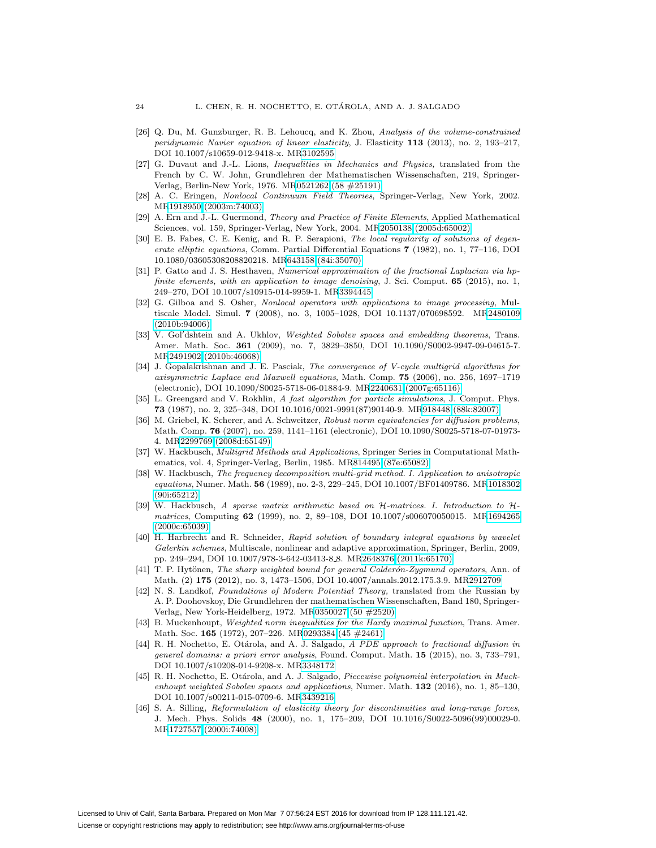- <span id="page-23-5"></span>[26] Q. Du, M. Gunzburger, R. B. Lehoucq, and K. Zhou, Analysis of the volume-constrained peridynamic Navier equation of linear elasticity, J. Elasticity **113** (2013), no. 2, 193–217, DOI 10.1007/s10659-012-9418-x. M[R3102595](http://www.ams.org/mathscinet-getitem?mr=3102595)
- <span id="page-23-4"></span>[27] G. Duvaut and J.-L. Lions, Inequalities in Mechanics and Physics, translated from the French by C. W. John, Grundlehren der Mathematischen Wissenschaften, 219, Springer-Verlag, Berlin-New York, 1976. M[R0521262 \(58 #25191\)](http://www.ams.org/mathscinet-getitem?mr=0521262)
- <span id="page-23-7"></span>[28] A. C. Eringen, Nonlocal Continuum Field Theories, Springer-Verlag, New York, 2002. M[R1918950 \(2003m:74003\)](http://www.ams.org/mathscinet-getitem?mr=1918950)
- <span id="page-23-19"></span>[29] A. Ern and J.-L. Guermond, Theory and Practice of Finite Elements, Applied Mathematical Sciences, vol. 159, Springer-Verlag, New York, 2004. M[R2050138 \(2005d:65002\)](http://www.ams.org/mathscinet-getitem?mr=2050138)
- <span id="page-23-0"></span>[30] E. B. Fabes, C. E. Kenig, and R. P. Serapioni, The local regularity of solutions of degenerate elliptic equations, Comm. Partial Differential Equations **7** (1982), no. 1, 77–116, DOI 10.1080/03605308208820218. M[R643158 \(84i:35070\)](http://www.ams.org/mathscinet-getitem?mr=643158)
- <span id="page-23-2"></span>[31] P. Gatto and J. S. Hesthaven, Numerical approximation of the fractional Laplacian via hpfinite elements, with an application to image denoising, J. Sci. Comput. **65** (2015), no. 1, 249–270, DOI 10.1007/s10915-014-9959-1. M[R3394445](http://www.ams.org/mathscinet-getitem?mr=3394445)
- <span id="page-23-3"></span>[32] G. Gilboa and S. Osher, Nonlocal operators with applications to image processing, Multiscale Model. Simul. **7** (2008), no. 3, 1005–1028, DOI 10.1137/070698592. M[R2480109](http://www.ams.org/mathscinet-getitem?mr=2480109) [\(2010b:94006\)](http://www.ams.org/mathscinet-getitem?mr=2480109)
- <span id="page-23-17"></span>[33] V. Gol'dshtein and A. Ukhlov, Weighted Sobolev spaces and embedding theorems, Trans. Amer. Math. Soc. **361** (2009), no. 7, 3829–3850, DOI 10.1090/S0002-9947-09-04615-7. M[R2491902 \(2010b:46068\)](http://www.ams.org/mathscinet-getitem?mr=2491902)
- <span id="page-23-18"></span>[34] J. Gopalakrishnan and J. E. Pasciak, The convergence of V-cycle multigrid algorithms for axisymmetric Laplace and Maxwell equations, Math. Comp. **75** (2006), no. 256, 1697–1719 (electronic), DOI 10.1090/S0025-5718-06-01884-9. M[R2240631 \(2007g:65116\)](http://www.ams.org/mathscinet-getitem?mr=2240631)
- <span id="page-23-14"></span>[35] L. Greengard and V. Rokhlin, A fast algorithm for particle simulations, J. Comput. Phys. **73** (1987), no. 2, 325–348, DOI 10.1016/0021-9991(87)90140-9. M[R918448 \(88k:82007\)](http://www.ams.org/mathscinet-getitem?mr=918448)
- <span id="page-23-13"></span>[36] M. Griebel, K. Scherer, and A. Schweitzer, Robust norm equivalencies for diffusion problems, Math. Comp. **76** (2007), no. 259, 1141–1161 (electronic), DOI 10.1090/S0025-5718-07-01973- 4. M[R2299769 \(2008d:65149\)](http://www.ams.org/mathscinet-getitem?mr=2299769)
- <span id="page-23-9"></span>[37] W. Hackbusch, Multigrid Methods and Applications, Springer Series in Computational Mathematics, vol. 4, Springer-Verlag, Berlin, 1985. M[R814495 \(87e:65082\)](http://www.ams.org/mathscinet-getitem?mr=814495)
- <span id="page-23-20"></span>[38] W. Hackbusch, The frequency decomposition multi-grid method. I. Application to anisotropic equations, Numer. Math. **56** (1989), no. 2-3, 229–245, DOI 10.1007/BF01409786. M[R1018302](http://www.ams.org/mathscinet-getitem?mr=1018302) [\(90i:65212\)](http://www.ams.org/mathscinet-getitem?mr=1018302)
- <span id="page-23-15"></span>[39] W. Hackbusch, A sparse matrix arithmetic based on H-matrices. I. Introduction to Hmatrices, Computing **62** (1999), no. 2, 89–108, DOI 10.1007/s006070050015. M[R1694265](http://www.ams.org/mathscinet-getitem?mr=1694265) [\(2000c:65039\)](http://www.ams.org/mathscinet-getitem?mr=1694265)
- <span id="page-23-16"></span>[40] H. Harbrecht and R. Schneider, Rapid solution of boundary integral equations by wavelet Galerkin schemes, Multiscale, nonlinear and adaptive approximation, Springer, Berlin, 2009, pp. 249–294, DOI 10.1007/978-3-642-03413-8 8. M[R2648376 \(2011k:65170\)](http://www.ams.org/mathscinet-getitem?mr=2648376)
- <span id="page-23-11"></span>[41] T. P. Hytönen, The sharp weighted bound for general Calderón-Zygmund operators, Ann. of Math. (2) **175** (2012), no. 3, 1473–1506, DOI 10.4007/annals.2012.175.3.9. M[R2912709](http://www.ams.org/mathscinet-getitem?mr=2912709)
- <span id="page-23-8"></span>[42] N. S. Landkof, Foundations of Modern Potential Theory, translated from the Russian by A. P. Doohovskoy, Die Grundlehren der mathematischen Wissenschaften, Band 180, Springer-Verlag, New York-Heidelberg, 1972. M[R0350027 \(50 #2520\)](http://www.ams.org/mathscinet-getitem?mr=0350027)
- <span id="page-23-12"></span>[43] B. Muckenhoupt, *Weighted norm inequalities for the Hardy maximal function*, Trans. Amer. Math. Soc. **165** (1972), 207–226. M[R0293384 \(45 #2461\)](http://www.ams.org/mathscinet-getitem?mr=0293384)
- <span id="page-23-1"></span>[44] R. H. Nochetto, E. Otárola, and A. J. Salgado, A PDE approach to fractional diffusion in general domains: a priori error analysis, Found. Comput. Math. **15** (2015), no. 3, 733–791, DOI 10.1007/s10208-014-9208-x. M[R3348172](http://www.ams.org/mathscinet-getitem?mr=3348172)
- <span id="page-23-10"></span>[45] R. H. Nochetto, E. Otárola, and A. J. Salgado, Piecewise polynomial interpolation in Muckenhoupt weighted Sobolev spaces and applications, Numer. Math. **132** (2016), no. 1, 85–130, DOI 10.1007/s00211-015-0709-6. M[R3439216](http://www.ams.org/mathscinet-getitem?mr=3439216)
- <span id="page-23-6"></span>[46] S. A. Silling, Reformulation of elasticity theory for discontinuities and long-range forces, J. Mech. Phys. Solids **48** (2000), no. 1, 175–209, DOI 10.1016/S0022-5096(99)00029-0. M[R1727557 \(2000i:74008\)](http://www.ams.org/mathscinet-getitem?mr=1727557)